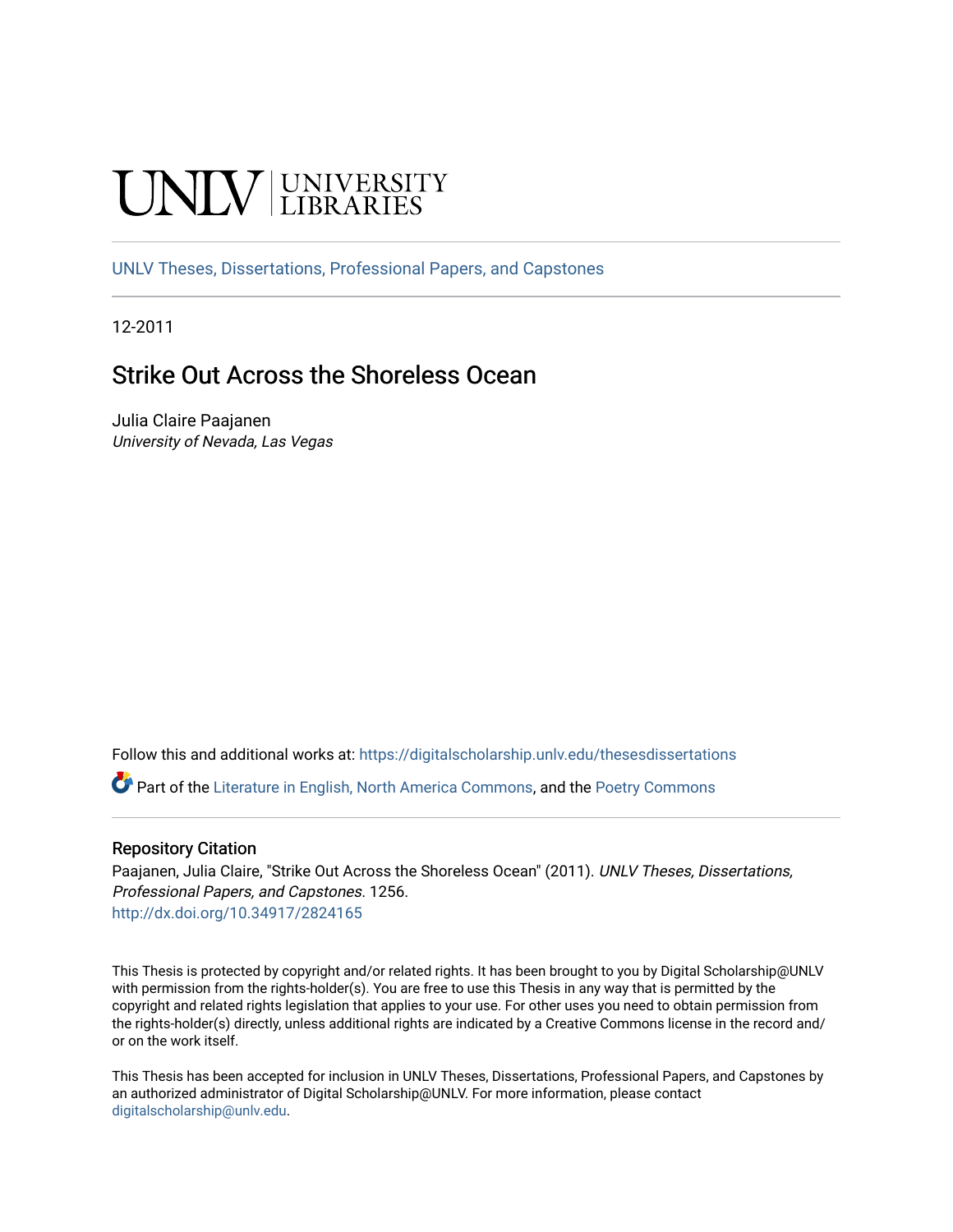# **INIVERSITY**

[UNLV Theses, Dissertations, Professional Papers, and Capstones](https://digitalscholarship.unlv.edu/thesesdissertations)

12-2011

# Strike Out Across the Shoreless Ocean

Julia Claire Paajanen University of Nevada, Las Vegas

Follow this and additional works at: [https://digitalscholarship.unlv.edu/thesesdissertations](https://digitalscholarship.unlv.edu/thesesdissertations?utm_source=digitalscholarship.unlv.edu%2Fthesesdissertations%2F1256&utm_medium=PDF&utm_campaign=PDFCoverPages)

Part of the [Literature in English, North America Commons,](http://network.bepress.com/hgg/discipline/458?utm_source=digitalscholarship.unlv.edu%2Fthesesdissertations%2F1256&utm_medium=PDF&utm_campaign=PDFCoverPages) and the [Poetry Commons](http://network.bepress.com/hgg/discipline/1153?utm_source=digitalscholarship.unlv.edu%2Fthesesdissertations%2F1256&utm_medium=PDF&utm_campaign=PDFCoverPages) 

#### Repository Citation

Paajanen, Julia Claire, "Strike Out Across the Shoreless Ocean" (2011). UNLV Theses, Dissertations, Professional Papers, and Capstones. 1256. <http://dx.doi.org/10.34917/2824165>

This Thesis is protected by copyright and/or related rights. It has been brought to you by Digital Scholarship@UNLV with permission from the rights-holder(s). You are free to use this Thesis in any way that is permitted by the copyright and related rights legislation that applies to your use. For other uses you need to obtain permission from the rights-holder(s) directly, unless additional rights are indicated by a Creative Commons license in the record and/ or on the work itself.

This Thesis has been accepted for inclusion in UNLV Theses, Dissertations, Professional Papers, and Capstones by an authorized administrator of Digital Scholarship@UNLV. For more information, please contact [digitalscholarship@unlv.edu](mailto:digitalscholarship@unlv.edu).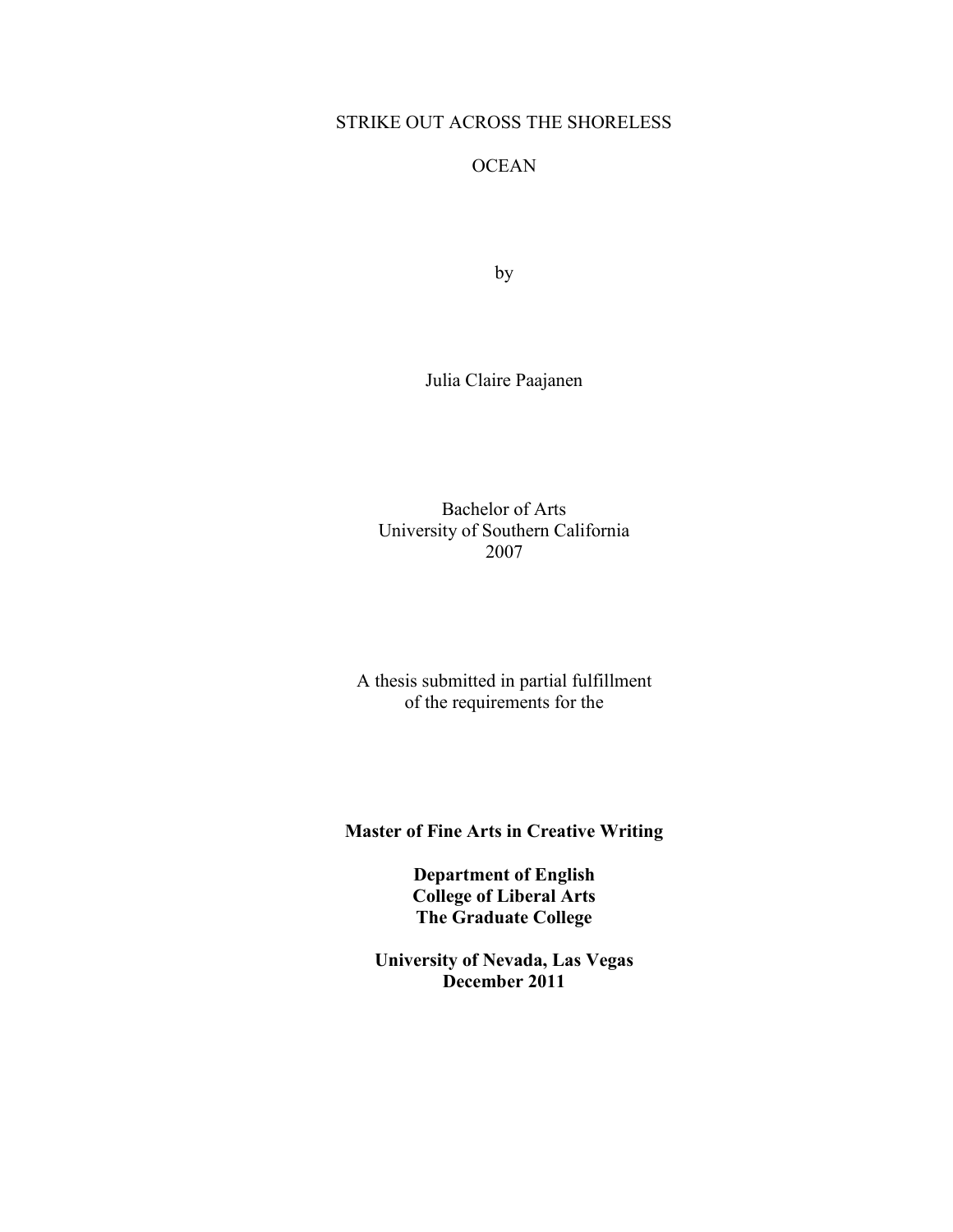## STRIKE OUT ACROSS THE SHORELESS

## **OCEAN**

by

Julia Claire Paajanen

Bachelor of Arts University of Southern California 2007

A thesis submitted in partial fulfillment of the requirements for the

**Master of Fine Arts in Creative Writing**

**Department of English College of Liberal Arts The Graduate College**

**University of Nevada, Las Vegas December 2011**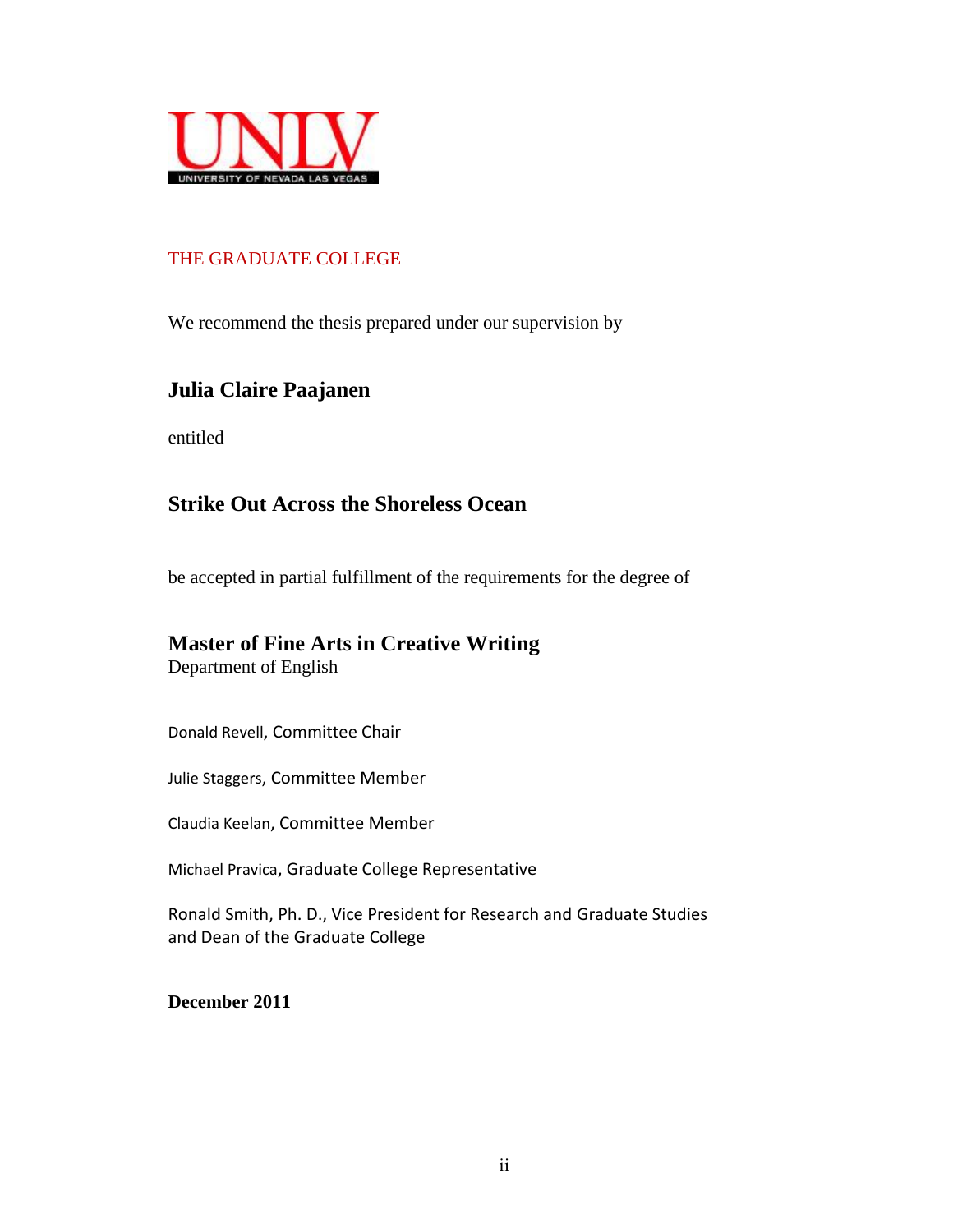

## THE GRADUATE COLLEGE

We recommend the thesis prepared under our supervision by

# **Julia Claire Paajanen**

entitled

# **Strike Out Across the Shoreless Ocean**

be accepted in partial fulfillment of the requirements for the degree of

# **Master of Fine Arts in Creative Writing**

Department of English

Donald Revell, Committee Chair

Julie Staggers, Committee Member

Claudia Keelan, Committee Member

Michael Pravica, Graduate College Representative

Ronald Smith, Ph. D., Vice President for Research and Graduate Studies and Dean of the Graduate College

**December 2011**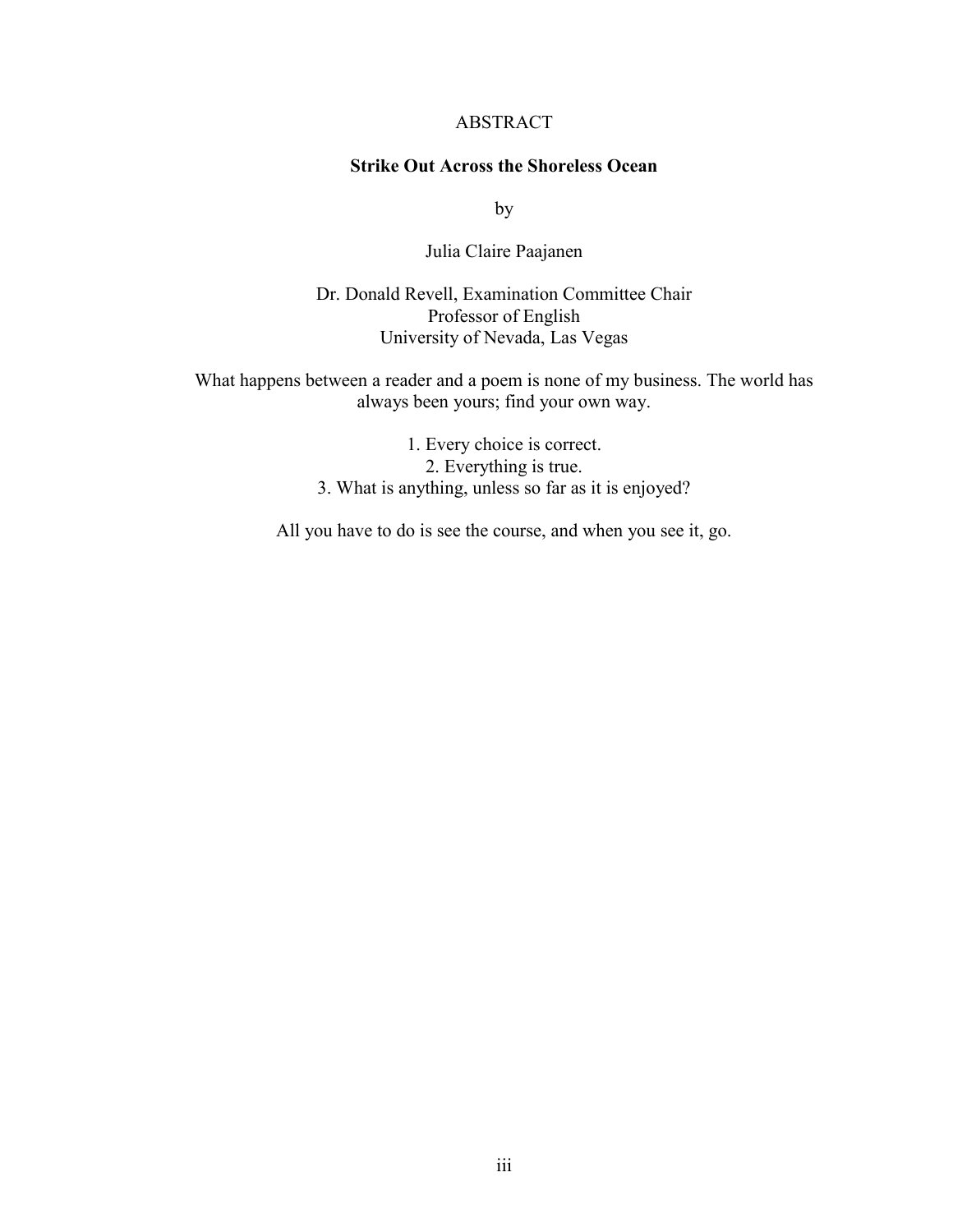#### ABSTRACT

#### **Strike Out Across the Shoreless Ocean**

by

Julia Claire Paajanen

Dr. Donald Revell, Examination Committee Chair Professor of English University of Nevada, Las Vegas

What happens between a reader and a poem is none of my business. The world has always been yours; find your own way.

> 1. Every choice is correct. 2. Everything is true. 3. What is anything, unless so far as it is enjoyed?

All you have to do is see the course, and when you see it, go.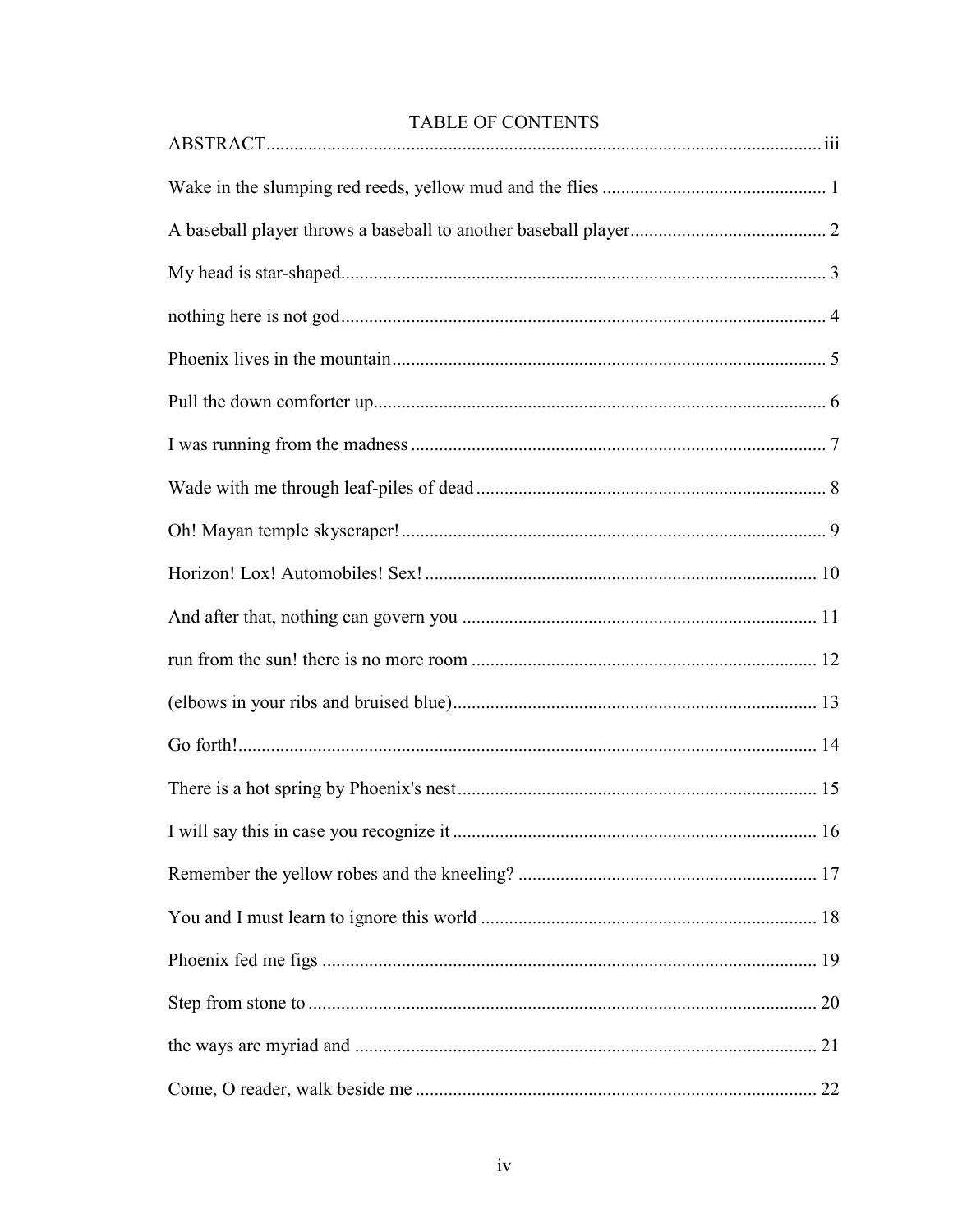| <b>TABLE OF CONTENTS</b> |  |  |  |
|--------------------------|--|--|--|
|                          |  |  |  |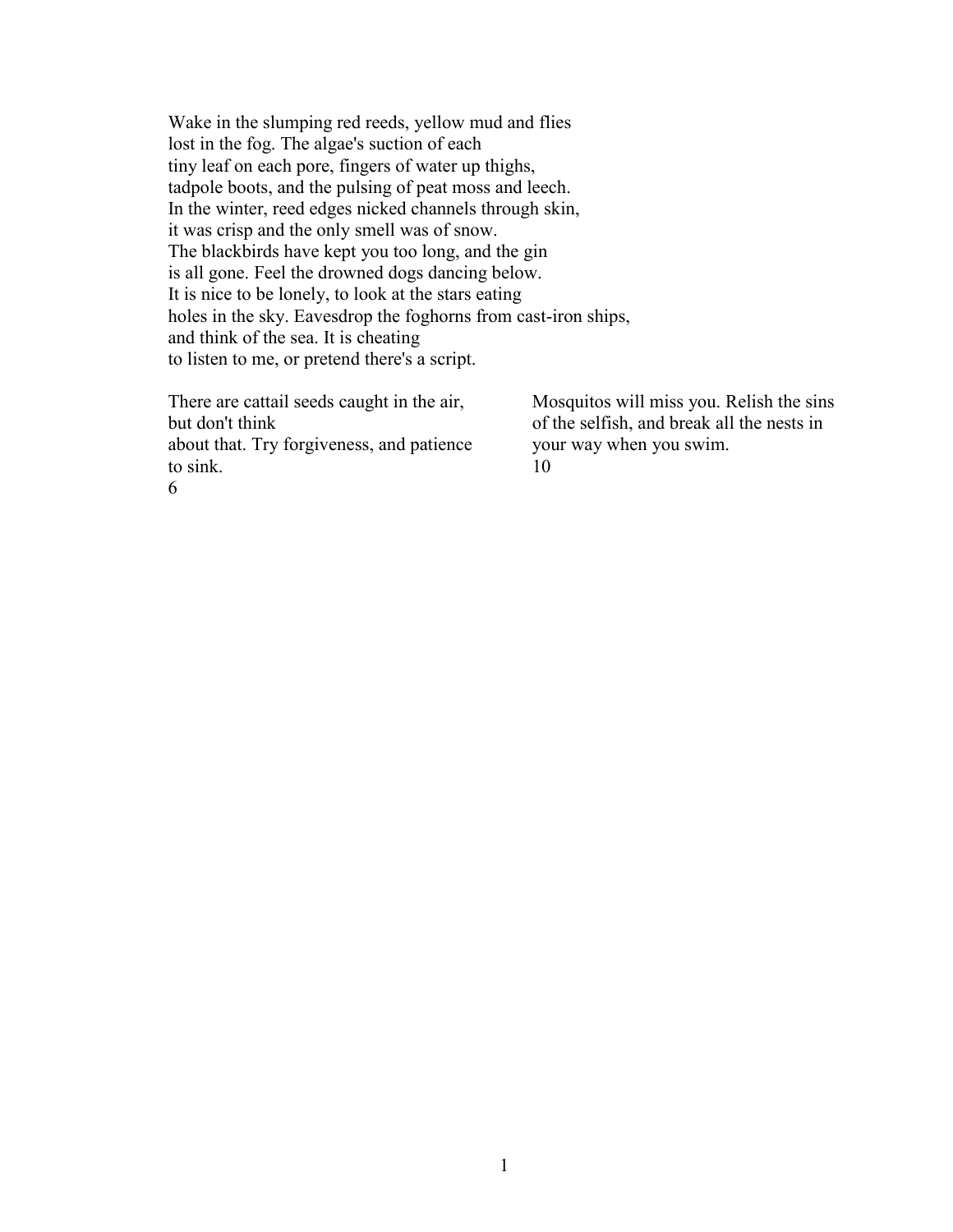Wake in the slumping red reeds, yellow mud and flies lost in the fog. The algae's suction of each tiny leaf on each pore, fingers of water up thighs, tadpole boots, and the pulsing of peat moss and leech. In the winter, reed edges nicked channels through skin, it was crisp and the only smell was of snow. The blackbirds have kept you too long, and the gin is all gone. Feel the drowned dogs dancing below. It is nice to be lonely, to look at the stars eating holes in the sky. Eavesdrop the foghorns from cast-iron ships, and think of the sea. It is cheating to listen to me, or pretend there's a script.

There are cattail seeds caught in the air, but don't think about that. Try forgiveness, and patience to sink. 6

Mosquitos will miss you. Relish the sins of the selfish, and break all the nests in your way when you swim. 10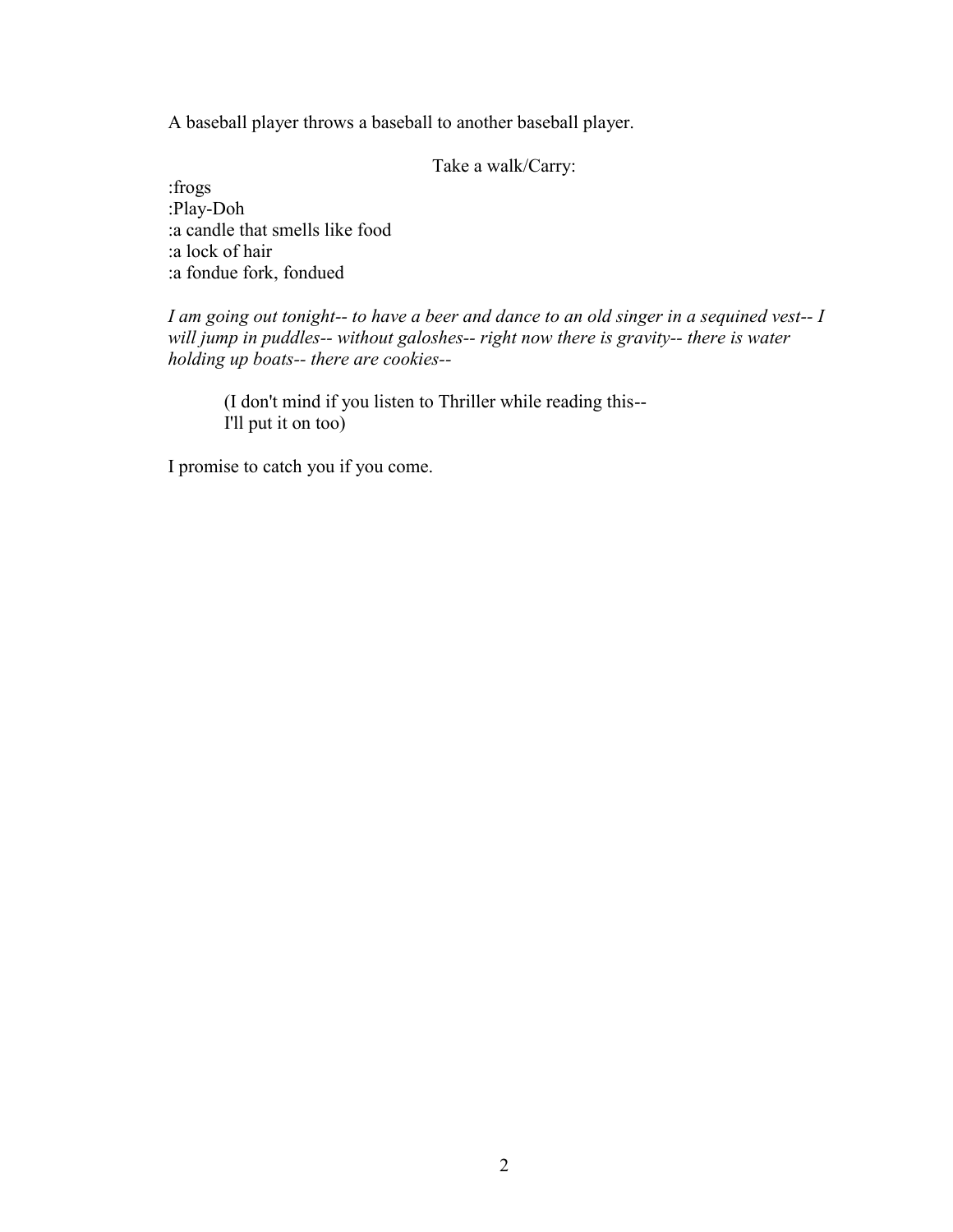A baseball player throws a baseball to another baseball player.

Take a walk/Carry:

:frogs :Play-Doh :a candle that smells like food :a lock of hair :a fondue fork, fondued

*I am going out tonight-- to have a beer and dance to an old singer in a sequined vest-- I will jump in puddles-- without galoshes-- right now there is gravity-- there is water holding up boats-- there are cookies--*

(I don't mind if you listen to Thriller while reading this-- I'll put it on too)

I promise to catch you if you come.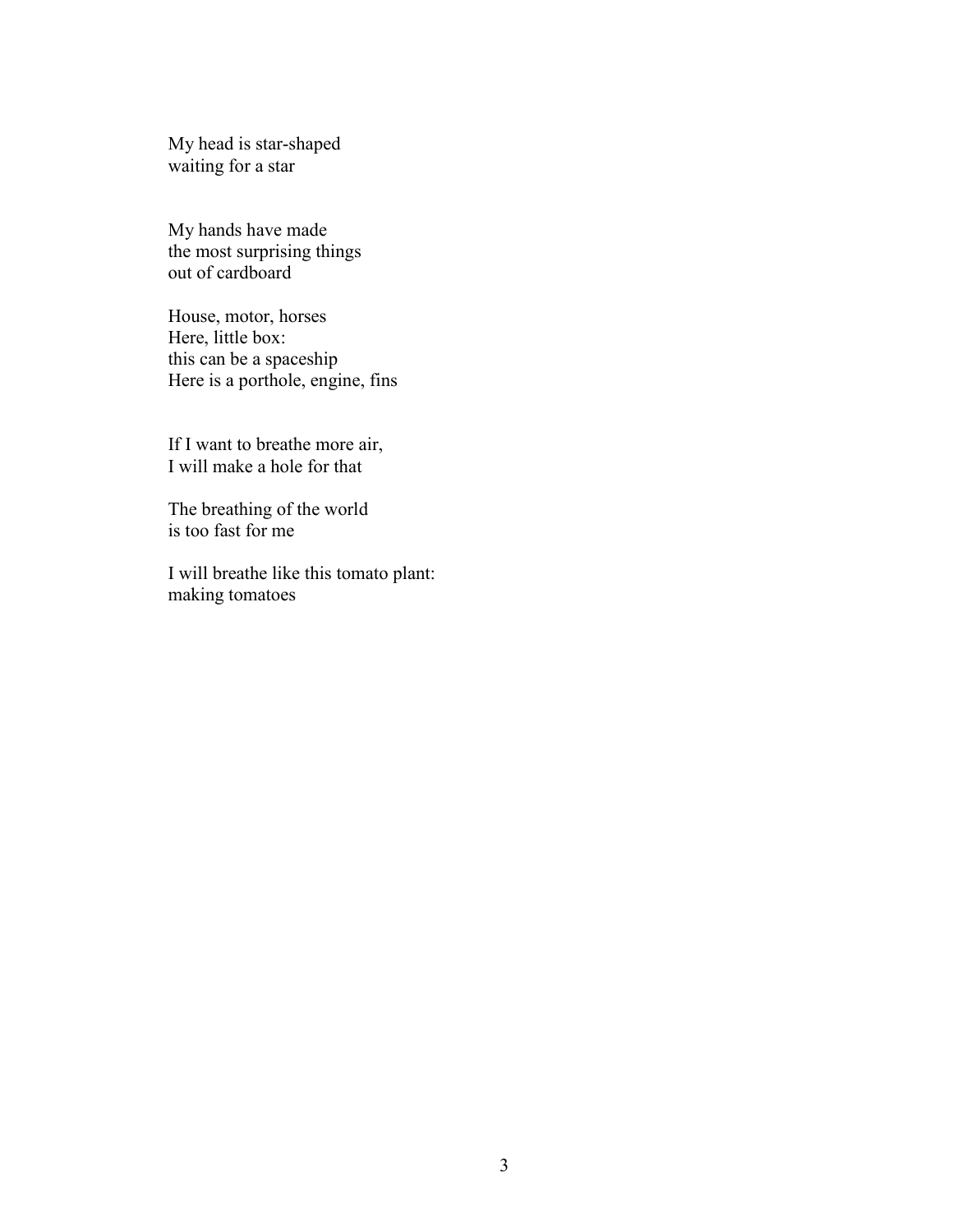My head is star-shaped waiting for a star

My hands have made the most surprising things out of cardboard

House, motor, horses Here, little box: this can be a spaceship Here is a porthole, engine, fins

If I want to breathe more air, I will make a hole for that

The breathing of the world is too fast for me

I will breathe like this tomato plant: making tomatoes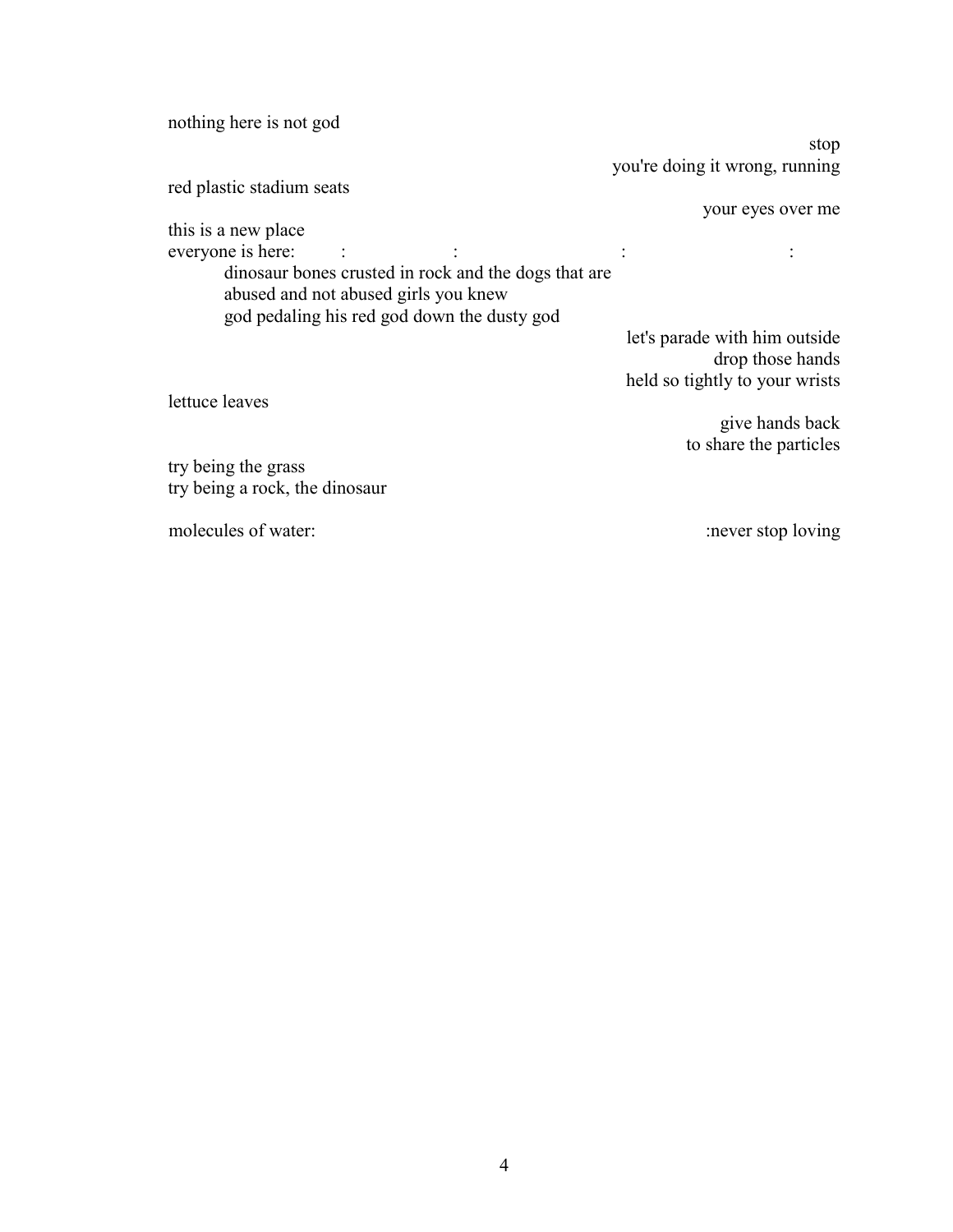| nothing here is not god                              |                                |
|------------------------------------------------------|--------------------------------|
|                                                      | stop                           |
|                                                      | you're doing it wrong, running |
| red plastic stadium seats                            |                                |
|                                                      | your eyes over me              |
| this is a new place                                  |                                |
| everyone is here:                                    |                                |
| dinosaur bones crusted in rock and the dogs that are |                                |
| abused and not abused girls you knew                 |                                |
| god pedaling his red god down the dusty god          |                                |
|                                                      | let's parade with him outside  |
|                                                      | drop those hands               |
|                                                      | held so tightly to your wrists |
| lettuce leaves                                       |                                |
|                                                      |                                |
|                                                      | give hands back                |
|                                                      | to share the particles         |
| try being the grass                                  |                                |
| try being a rock, the dinosaur                       |                                |
| molecules of water:                                  | never stop loving              |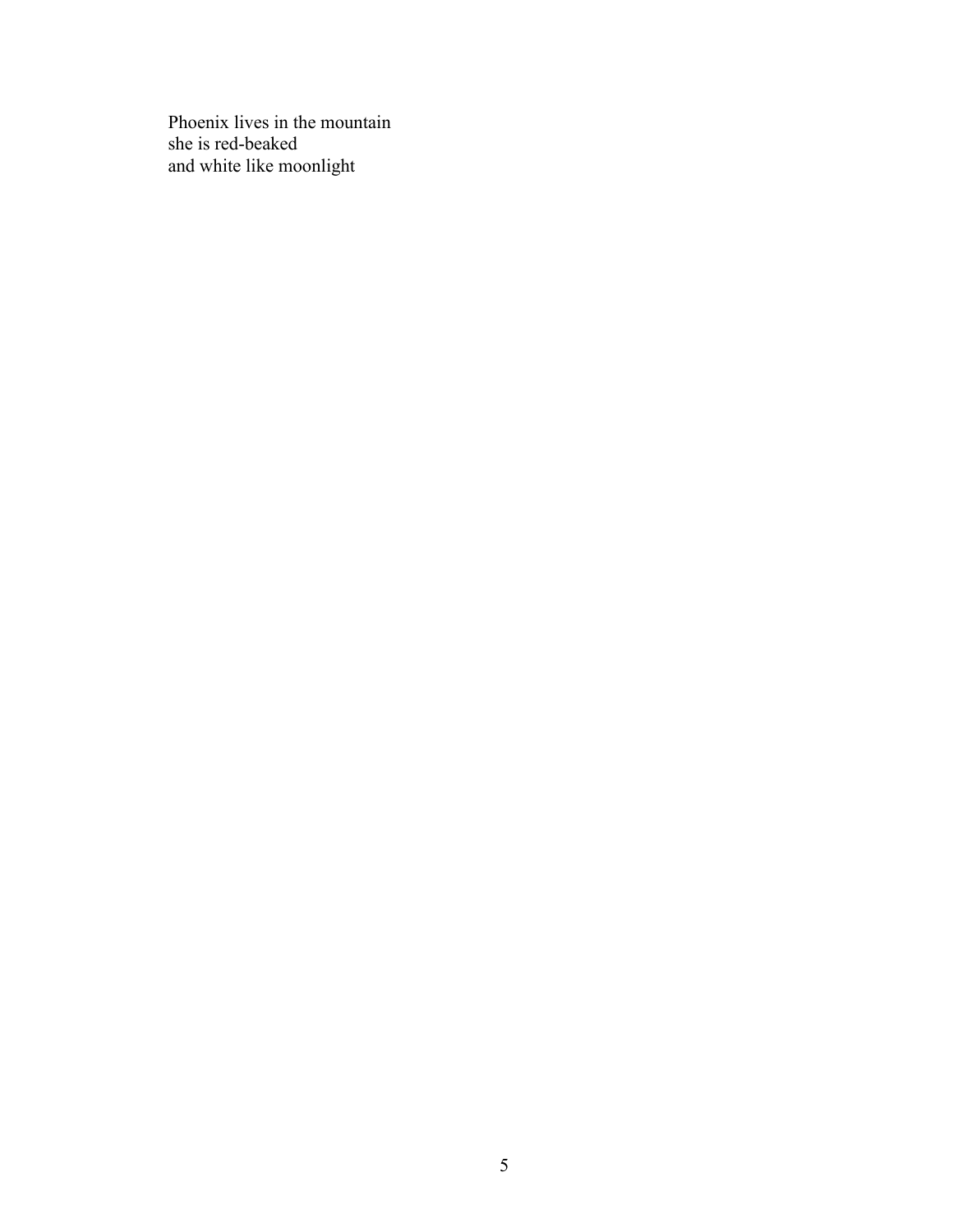Phoenix lives in the mountain she is red-beaked and white like moonlight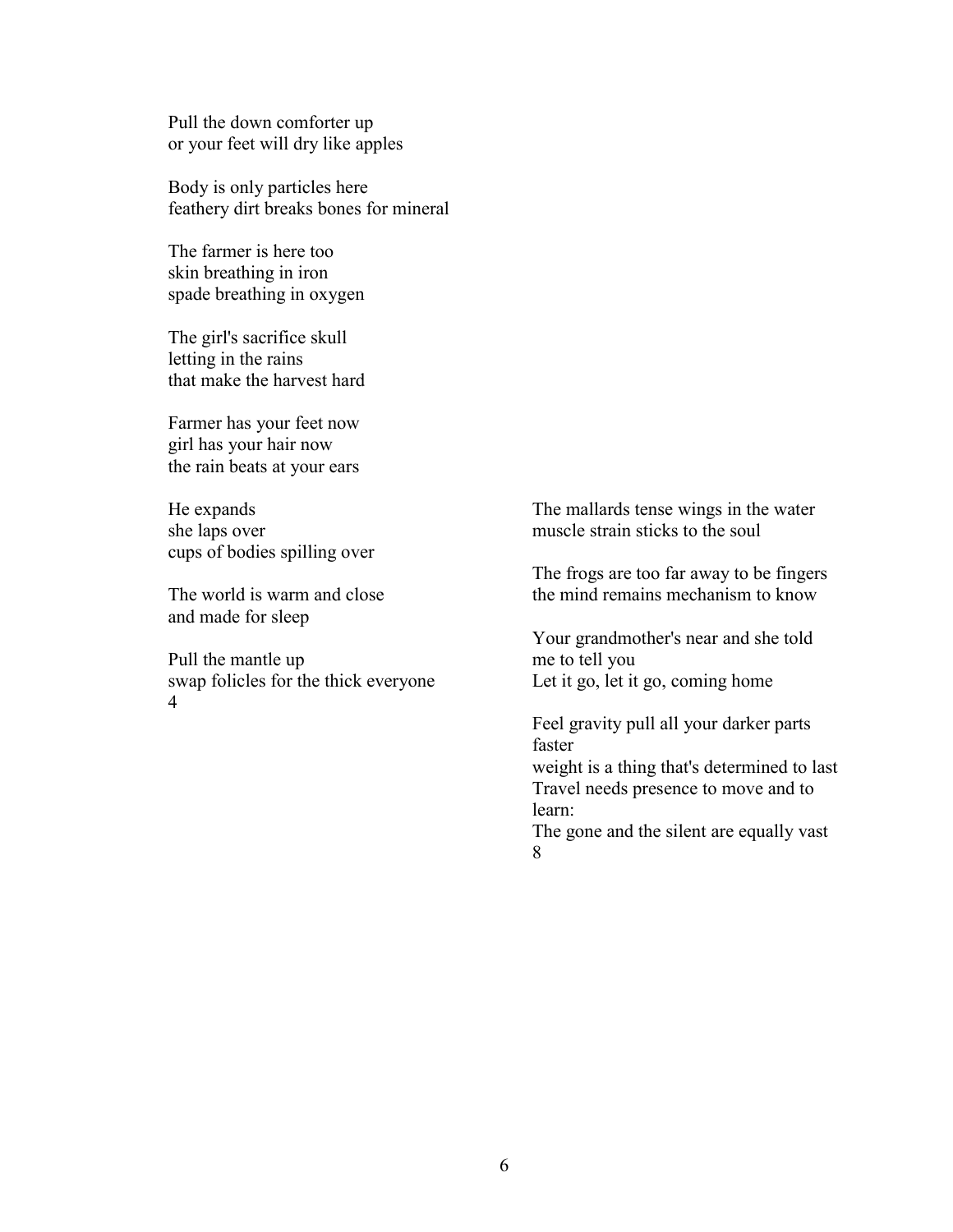Pull the down comforter up or your feet will dry like apples

Body is only particles here feathery dirt breaks bones for mineral

The farmer is here too skin breathing in iron spade breathing in oxygen

The girl's sacrifice skull letting in the rains that make the harvest hard

Farmer has your feet now girl has your hair now the rain beats at your ears

He expands she laps over cups of bodies spilling over

The world is warm and close and made for sleep

Pull the mantle up swap folicles for the thick everyone 4

The mallards tense wings in the water muscle strain sticks to the soul

The frogs are too far away to be fingers the mind remains mechanism to know

Your grandmother's near and she told me to tell you Let it go, let it go, coming home

Feel gravity pull all your darker parts faster

weight is a thing that's determined to last Travel needs presence to move and to learn:

The gone and the silent are equally vast 8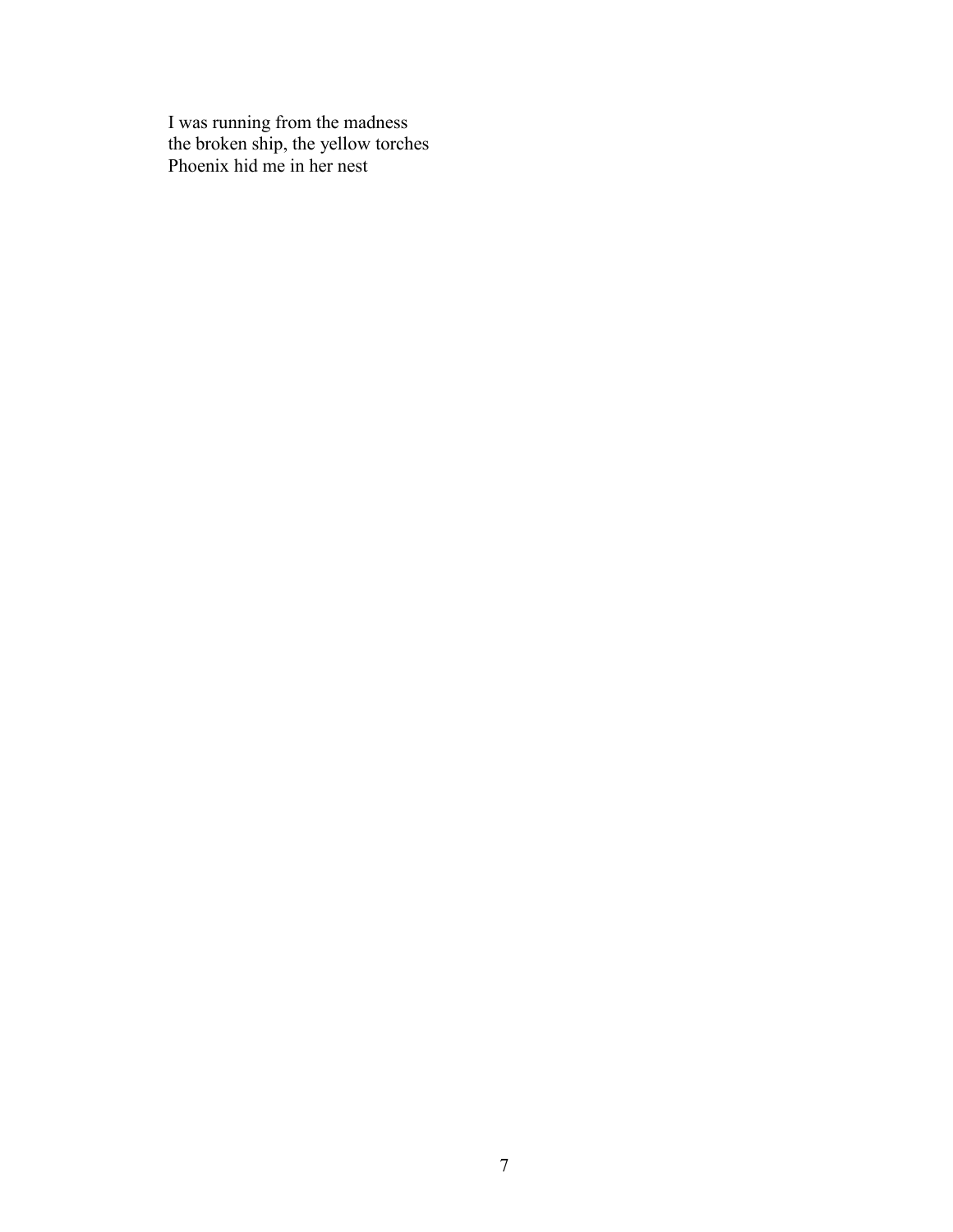I was running from the madness the broken ship, the yellow torches Phoenix hid me in her nest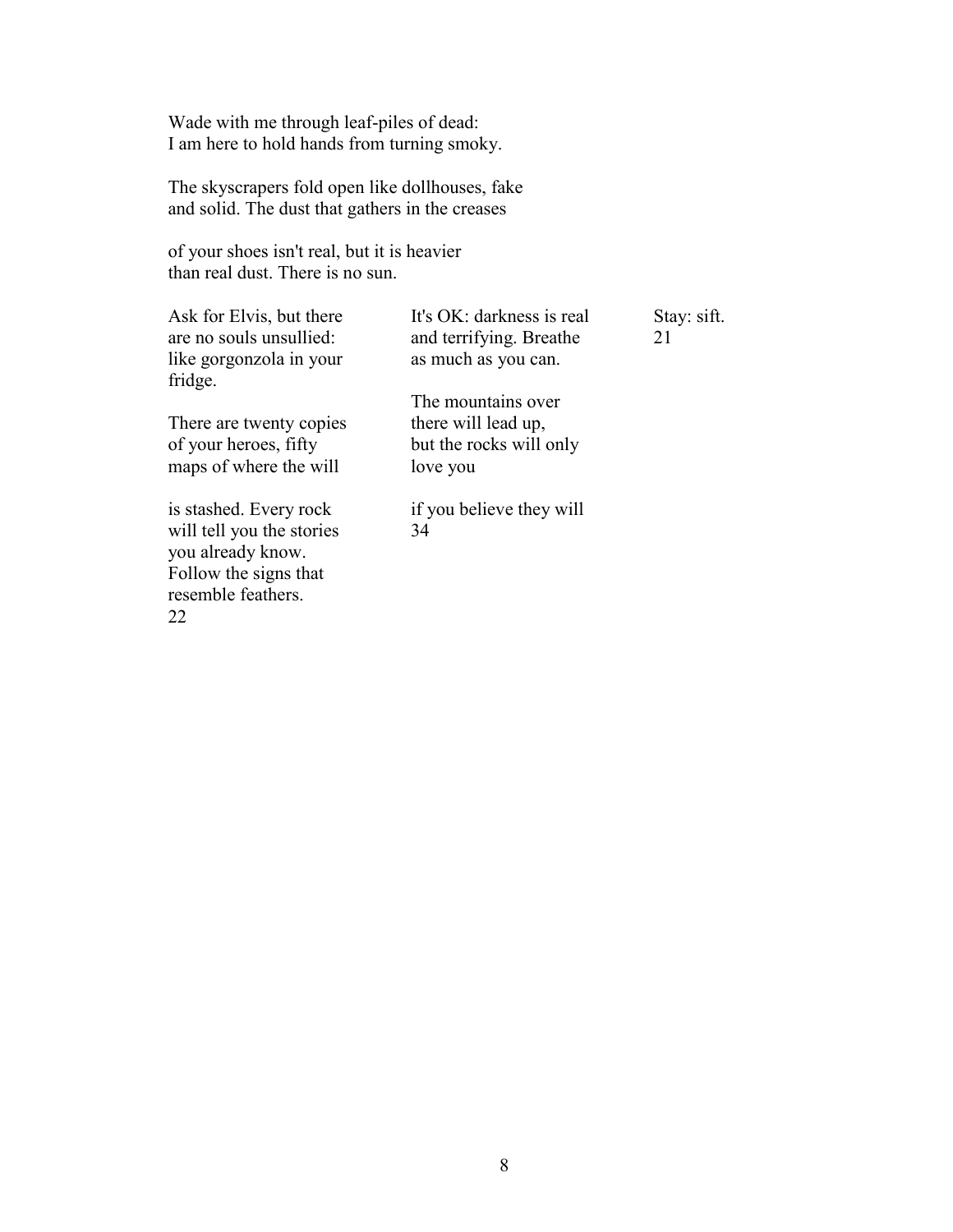Wade with me through leaf-piles of dead: I am here to hold hands from turning smoky.

The skyscrapers fold open like dollhouses, fake and solid. The dust that gathers in the creases

of your shoes isn't real, but it is heavier than real dust. There is no sun.

| Ask for Elvis, but there<br>are no souls unsullied:<br>like gorgonzola in your                                                | It's OK: darkness is real<br>and terrifying. Breathe<br>as much as you can.      | Stay: sift.<br>21 |
|-------------------------------------------------------------------------------------------------------------------------------|----------------------------------------------------------------------------------|-------------------|
| fridge.                                                                                                                       |                                                                                  |                   |
| There are twenty copies<br>of your heroes, fifty<br>maps of where the will                                                    | The mountains over<br>there will lead up,<br>but the rocks will only<br>love you |                   |
| is stashed. Every rock<br>will tell you the stories<br>you already know.<br>Follow the signs that<br>resemble feathers.<br>22 | if you believe they will<br>34                                                   |                   |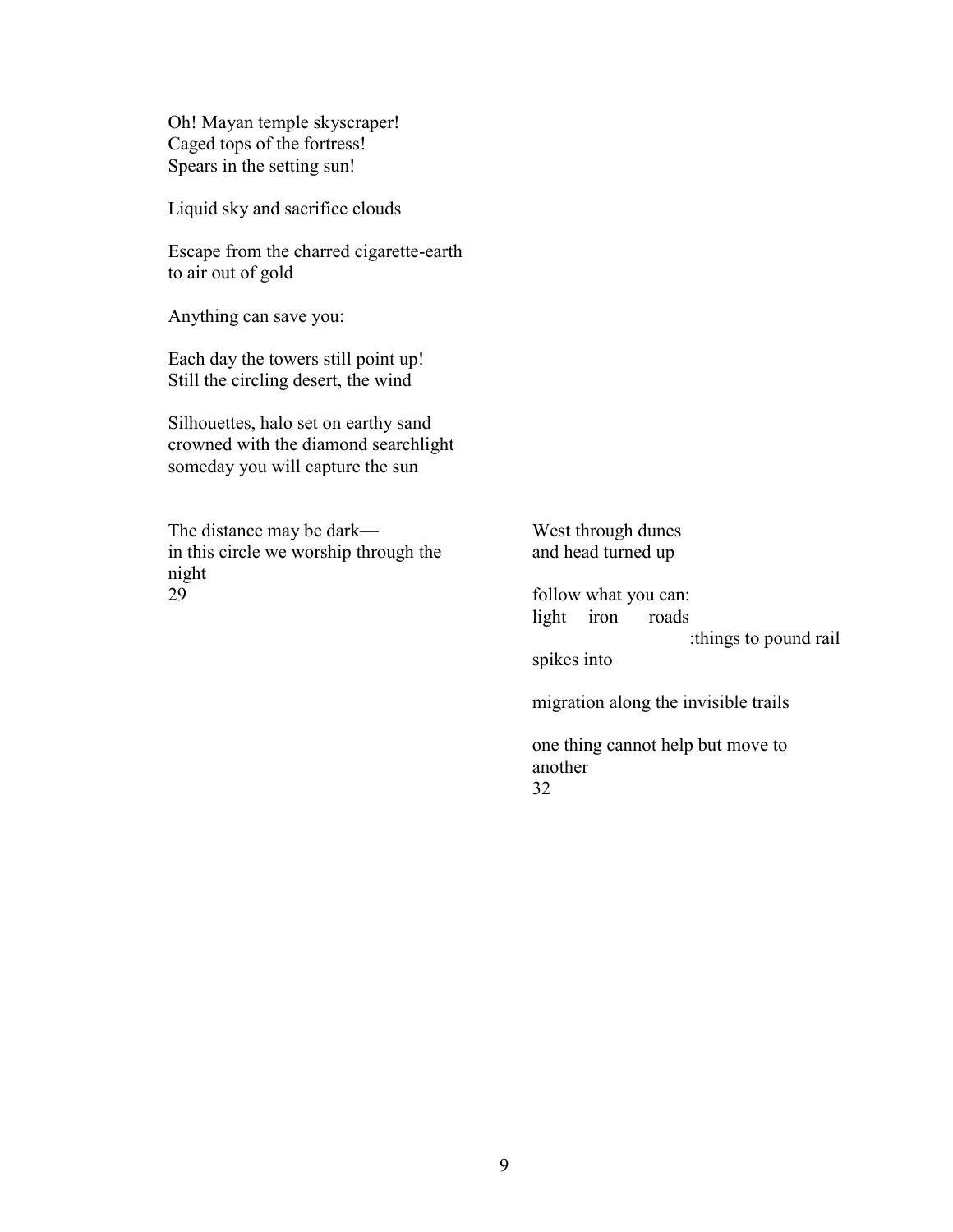Oh! Mayan temple skyscraper! Caged tops of the fortress! Spears in the setting sun!

Liquid sky and sacrifice clouds

Escape from the charred cigarette-earth to air out of gold

Anything can save you:

Each day the towers still point up! Still the circling desert, the wind

Silhouettes, halo set on earthy sand crowned with the diamond searchlight someday you will capture the sun

The distance may be dark in this circle we worship through the night 29

West through dunes and head turned up

follow what you can: light iron roads :things to pound rail

spikes into

migration along the invisible trails

one thing cannot help but move to another 32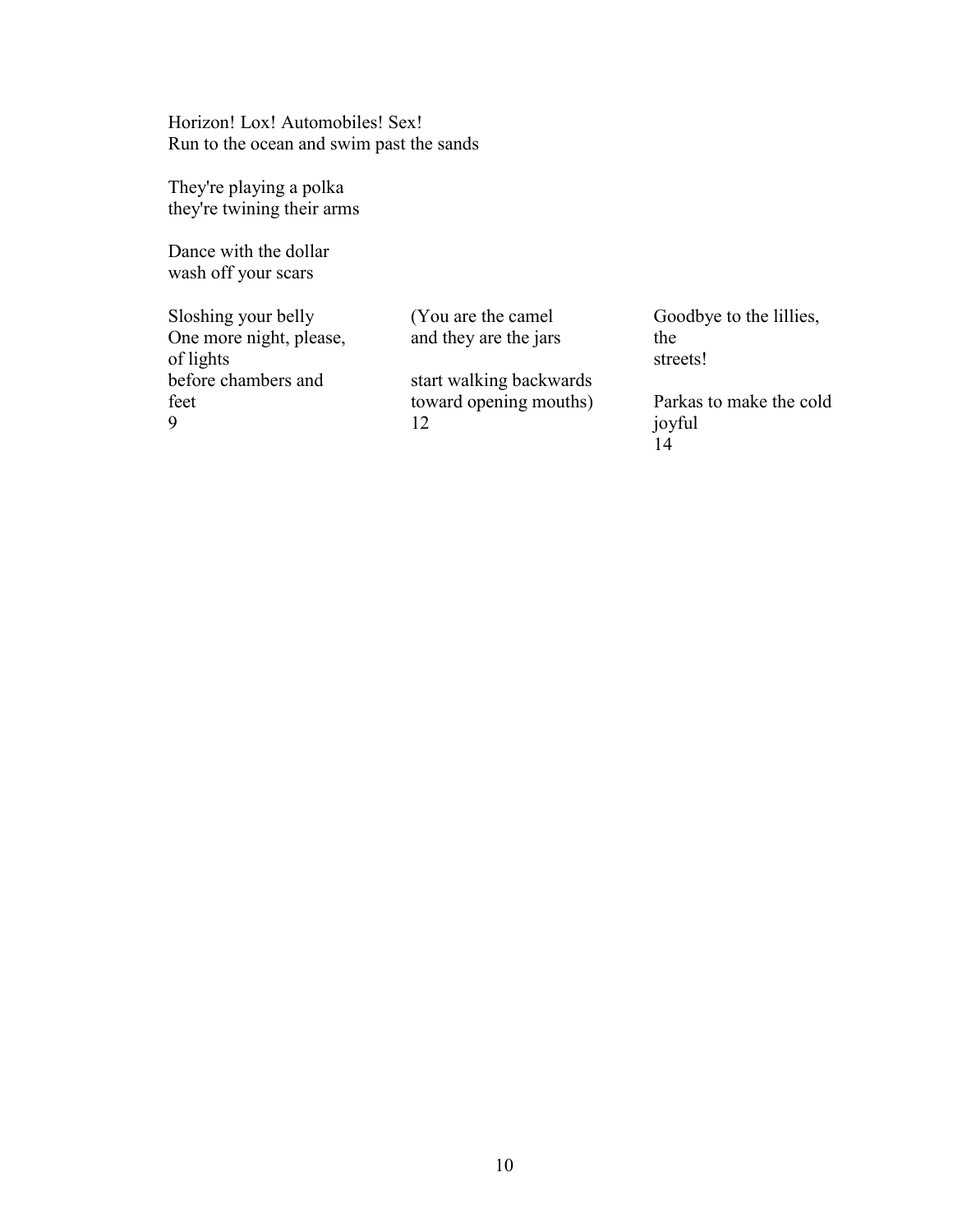Horizon! Lox! Automobiles! Sex! Run to the ocean and swim past the sands

They're playing a polka they're twining their arms

Dance with the dollar wash off your scars

Sloshing your belly One more night, please, of lights before chambers and feet 9

(You are the camel and they are the jars

start walking backwards toward opening mouths) 12

Goodbye to the lillies, the streets!

Parkas to make the cold joyful  $14$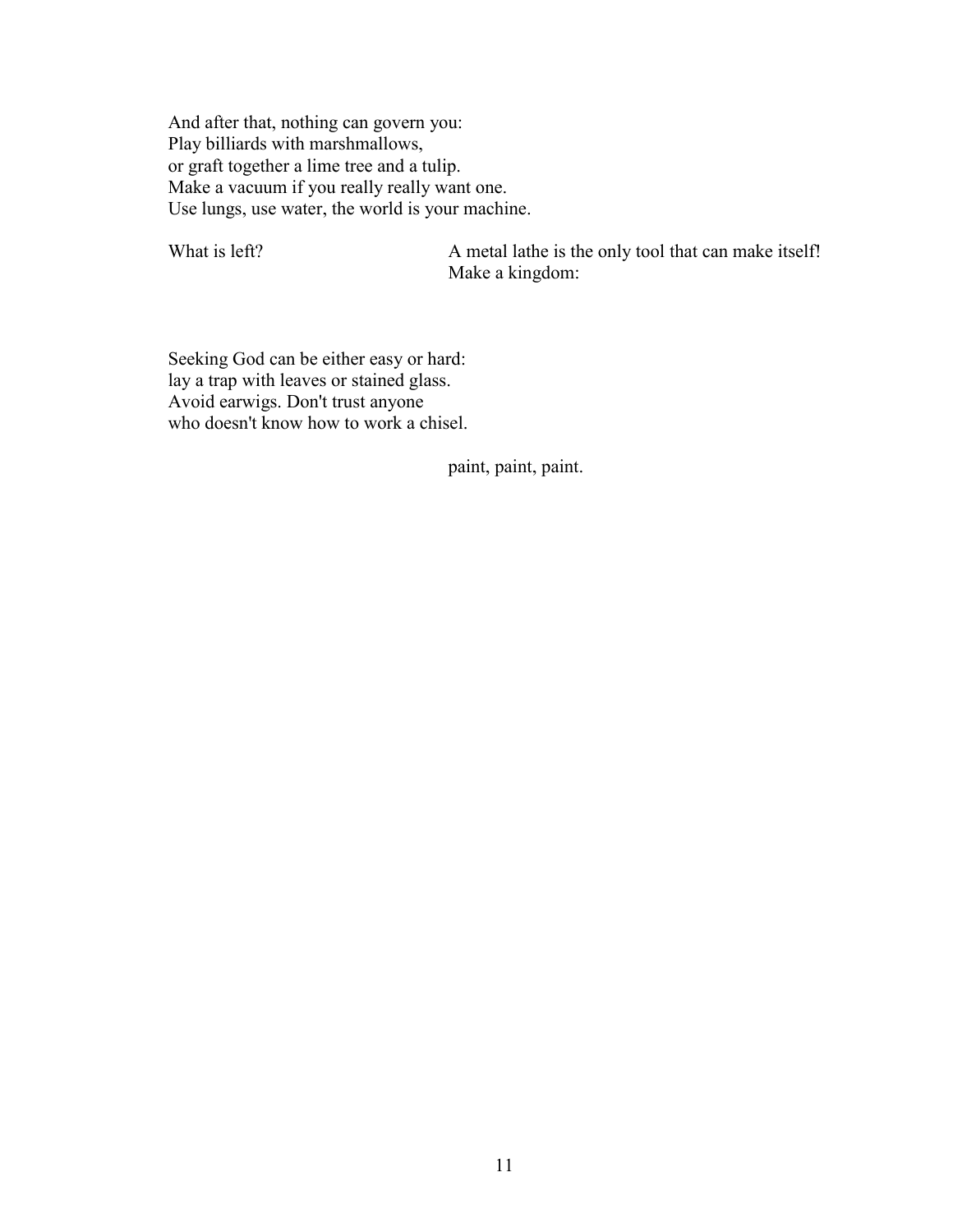And after that, nothing can govern you: Play billiards with marshmallows, or graft together a lime tree and a tulip. Make a vacuum if you really really want one. Use lungs, use water, the world is your machine.

What is left? A metal lathe is the only tool that can make itself! Make a kingdom:

Seeking God can be either easy or hard: lay a trap with leaves or stained glass. Avoid earwigs. Don't trust anyone who doesn't know how to work a chisel.

paint, paint, paint.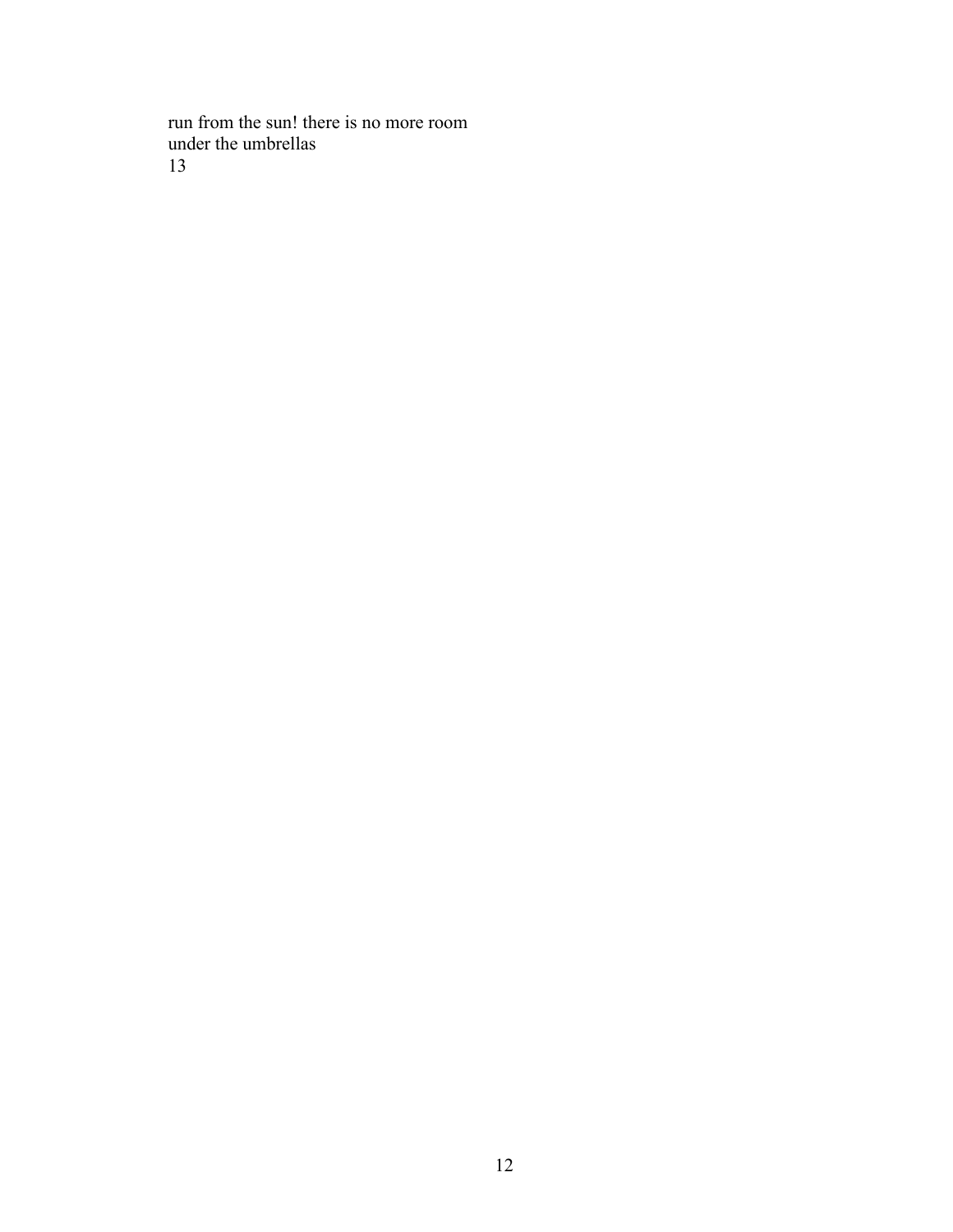run from the sun! there is no more room under the umbrellas 13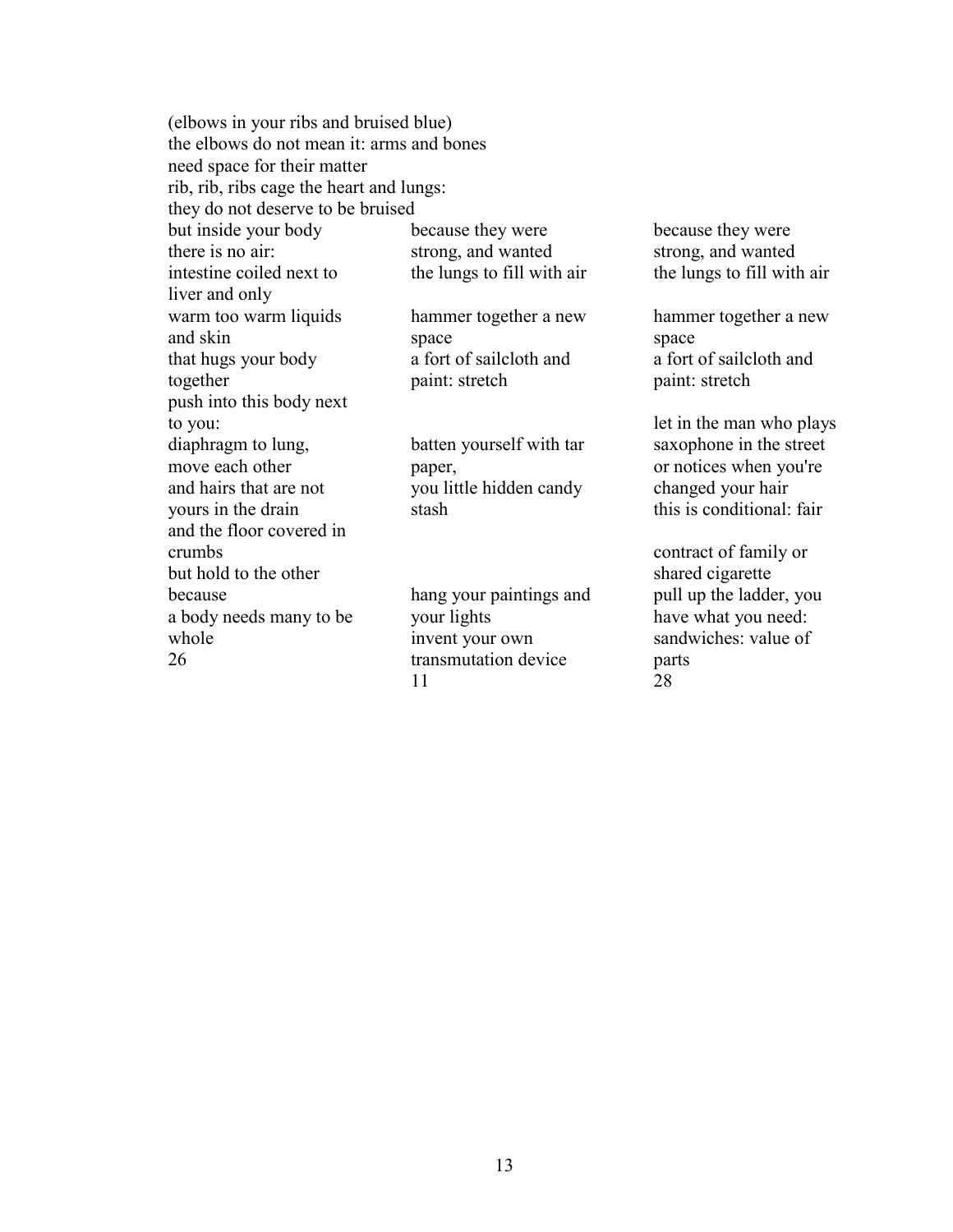|                                           | (elbows in your ribs and bruised blue) |                            |  |  |
|-------------------------------------------|----------------------------------------|----------------------------|--|--|
| the elbows do not mean it: arms and bones |                                        |                            |  |  |
| need space for their matter               |                                        |                            |  |  |
| rib, rib, ribs cage the heart and lungs:  |                                        |                            |  |  |
| they do not deserve to be bruised         |                                        |                            |  |  |
| but inside your body                      | because they were                      | because they were          |  |  |
| there is no air:                          | strong, and wanted                     | strong, and wanted         |  |  |
| intestine coiled next to                  | the lungs to fill with air             | the lungs to fill with air |  |  |
| liver and only                            |                                        |                            |  |  |
| warm too warm liquids                     | hammer together a new                  | hammer together a new      |  |  |
| and skin                                  | space                                  | space                      |  |  |
| that hugs your body                       | a fort of sailcloth and                | a fort of sailcloth and    |  |  |
| together                                  | paint: stretch                         | paint: stretch             |  |  |
| push into this body next                  |                                        |                            |  |  |
| to you:                                   |                                        | let in the man who plays   |  |  |
| diaphragm to lung,                        | batten yourself with tar               | saxophone in the street    |  |  |
| move each other                           | paper,                                 | or notices when you're     |  |  |
| and hairs that are not                    | you little hidden candy                | changed your hair          |  |  |
| yours in the drain                        | stash                                  | this is conditional: fair  |  |  |
| and the floor covered in                  |                                        |                            |  |  |
| crumbs                                    |                                        | contract of family or      |  |  |
| but hold to the other                     |                                        | shared cigarette           |  |  |
| because                                   | hang your paintings and                | pull up the ladder, you    |  |  |
| a body needs many to be                   | your lights                            | have what you need:        |  |  |
| whole                                     | invent your own                        | sandwiches: value of       |  |  |
| 26                                        | transmutation device                   | parts                      |  |  |
|                                           | 11                                     | 28                         |  |  |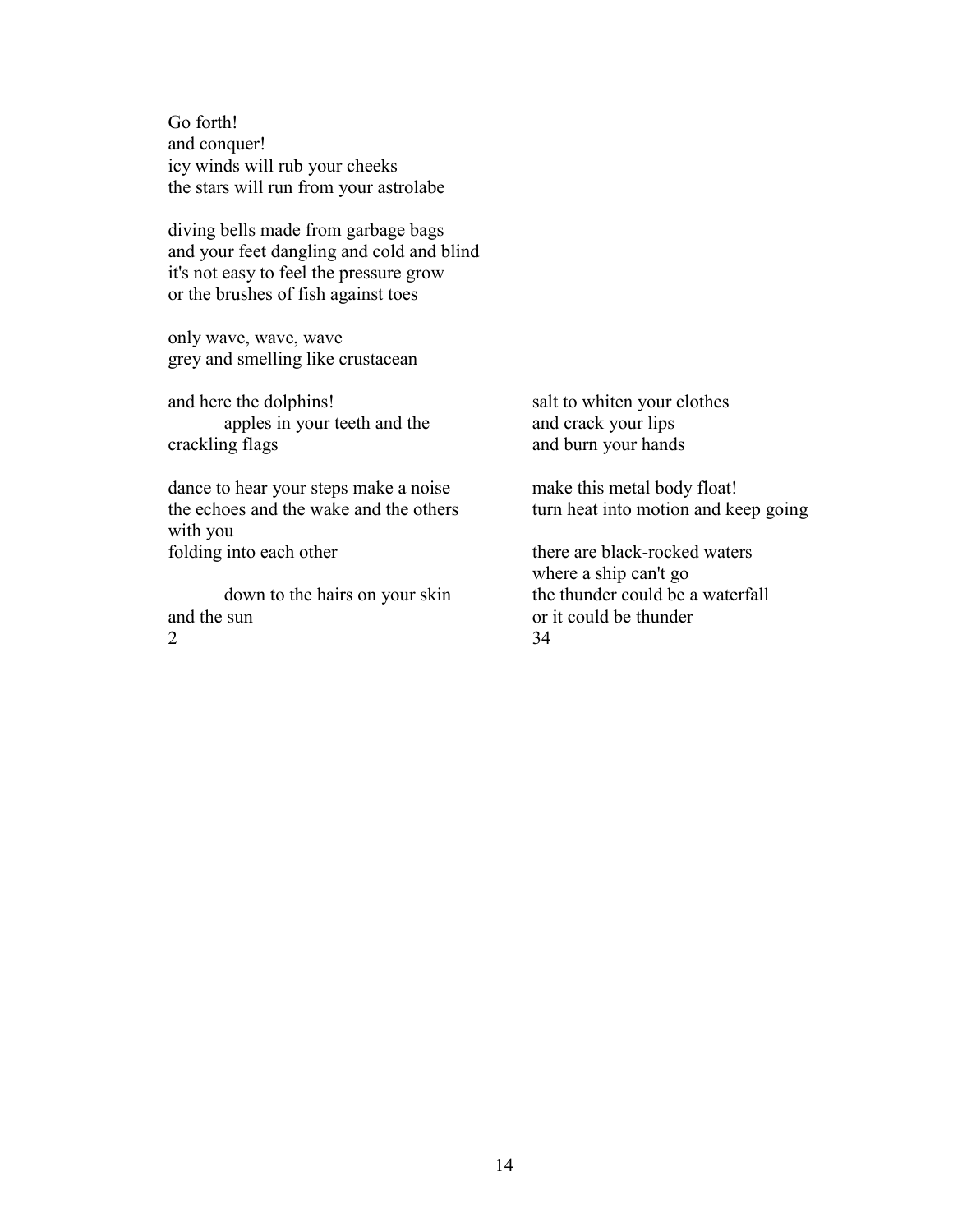Go forth! and conquer! icy winds will rub your cheeks the stars will run from your astrolabe

diving bells made from garbage bags and your feet dangling and cold and blind it's not easy to feel the pressure grow or the brushes of fish against toes

only wave, wave, wave grey and smelling like crustacean

and here the dolphins! apples in your teeth and the crackling flags

dance to hear your steps make a noise the echoes and the wake and the others with you folding into each other

down to the hairs on your skin and the sun  $\mathcal{D}_{\mathcal{L}}$ 

salt to whiten your clothes and crack your lips and burn your hands

make this metal body float! turn heat into motion and keep going

there are black-rocked waters where a ship can't go the thunder could be a waterfall or it could be thunder 34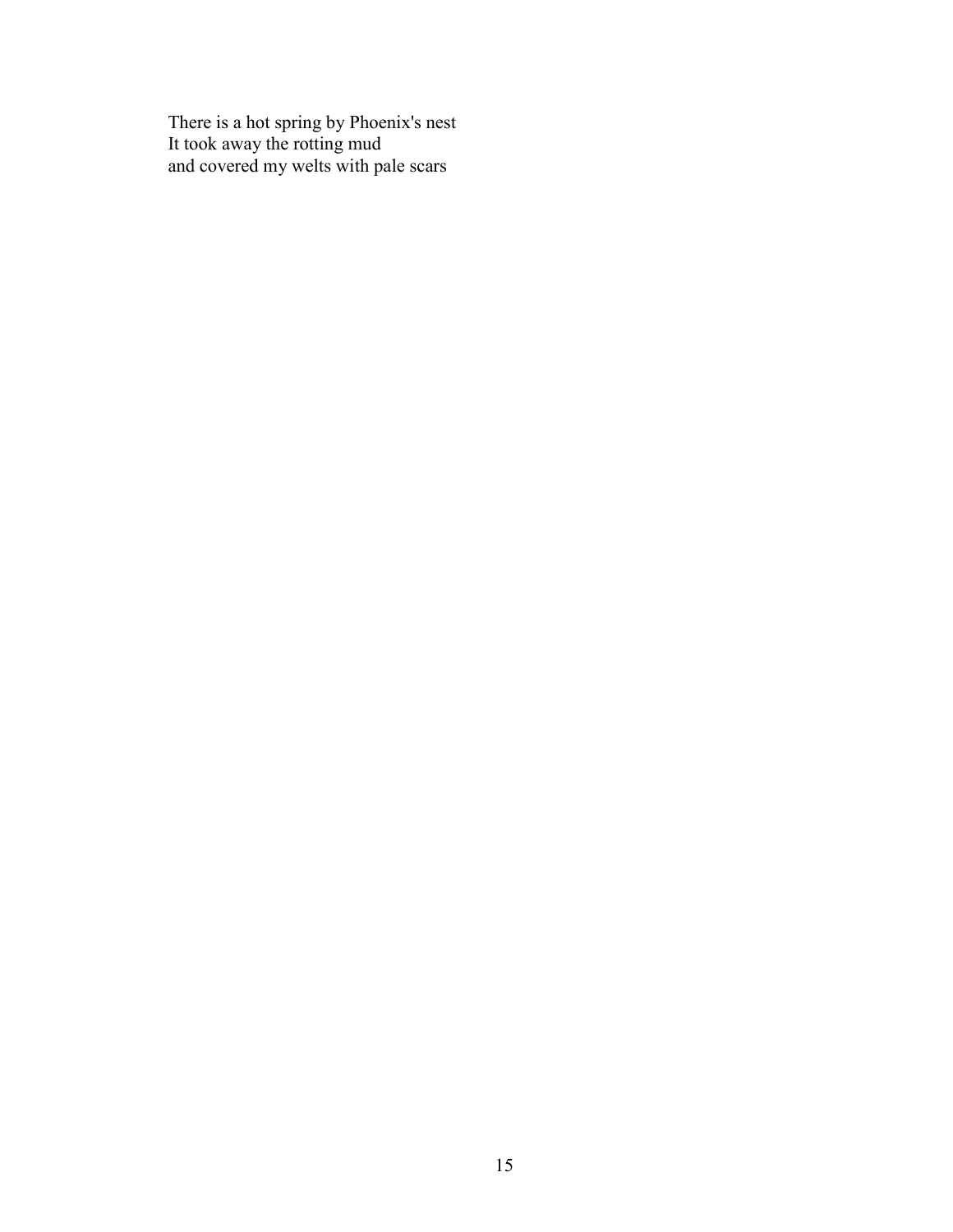There is a hot spring by Phoenix's nest It took away the rotting mud and covered my welts with pale scars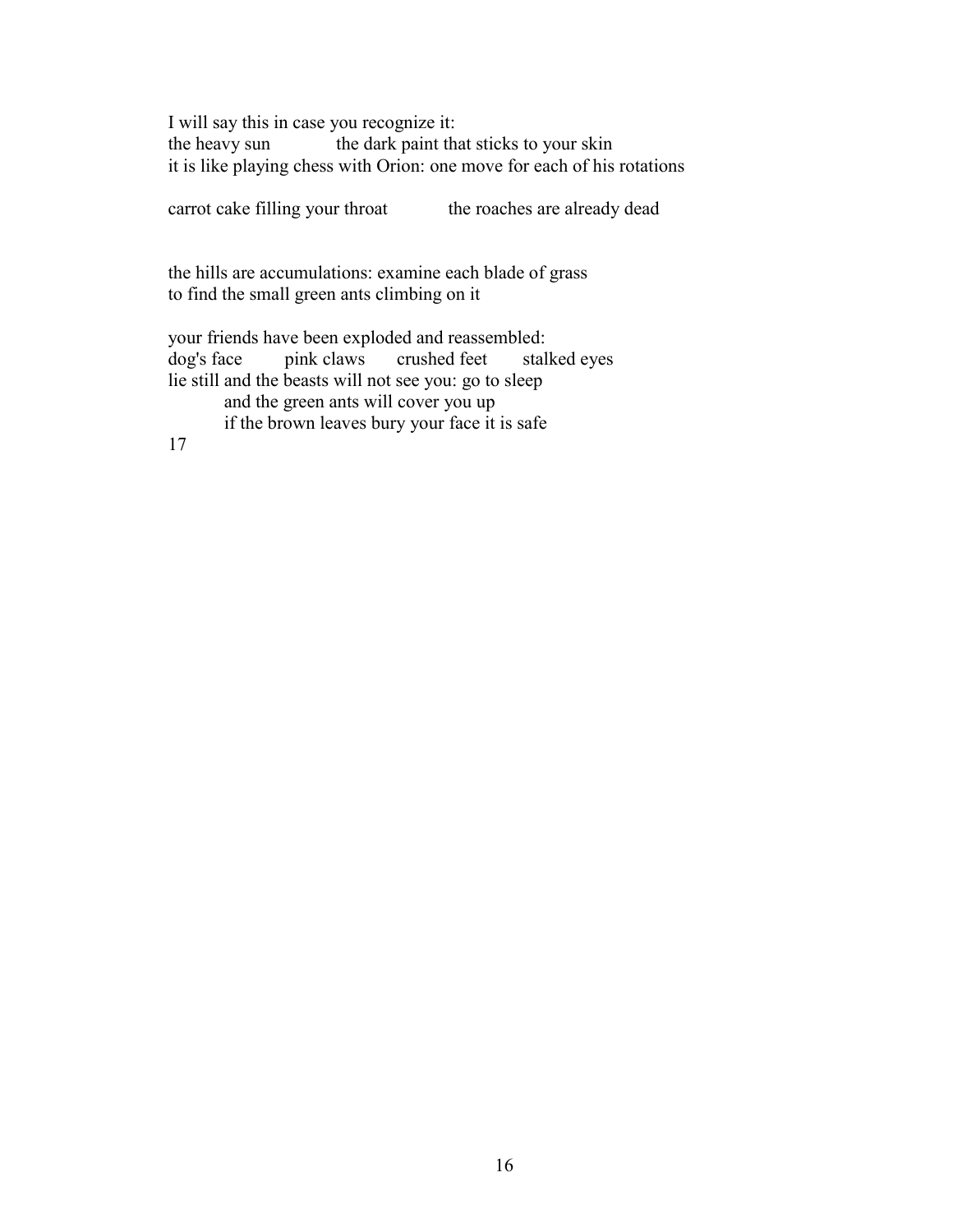I will say this in case you recognize it: the heavy sun the dark paint that sticks to your skin it is like playing chess with Orion: one move for each of his rotations

carrot cake filling your throat the roaches are already dead

the hills are accumulations: examine each blade of grass to find the small green ants climbing on it

your friends have been exploded and reassembled: dog's face pink claws crushed feet stalked eyes lie still and the beasts will not see you: go to sleep and the green ants will cover you up if the brown leaves bury your face it is safe

17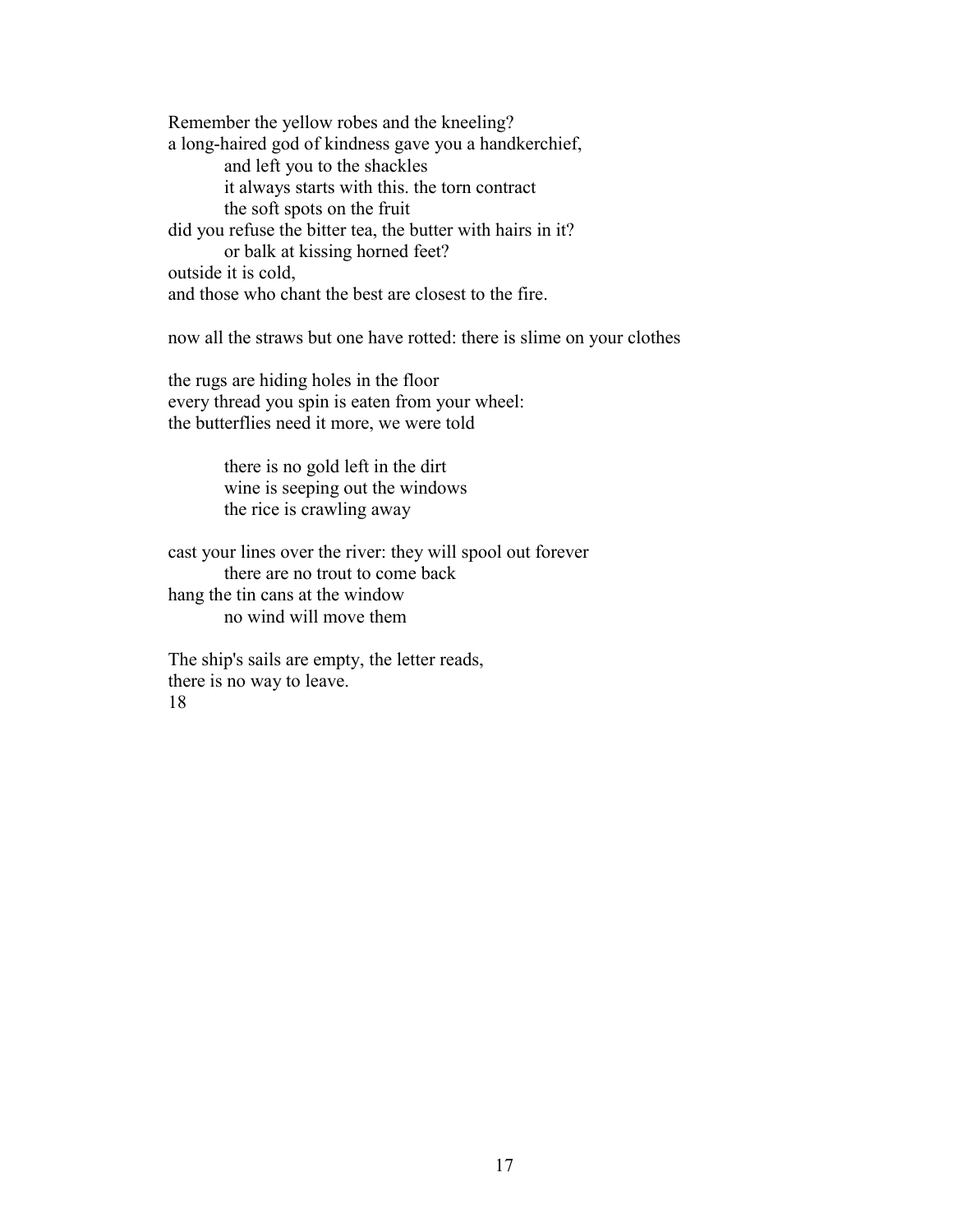Remember the yellow robes and the kneeling? a long-haired god of kindness gave you a handkerchief, and left you to the shackles it always starts with this. the torn contract the soft spots on the fruit did you refuse the bitter tea, the butter with hairs in it? or balk at kissing horned feet? outside it is cold, and those who chant the best are closest to the fire.

now all the straws but one have rotted: there is slime on your clothes

the rugs are hiding holes in the floor every thread you spin is eaten from your wheel: the butterflies need it more, we were told

> there is no gold left in the dirt wine is seeping out the windows the rice is crawling away

cast your lines over the river: they will spool out forever there are no trout to come back hang the tin cans at the window no wind will move them

The ship's sails are empty, the letter reads, there is no way to leave. 18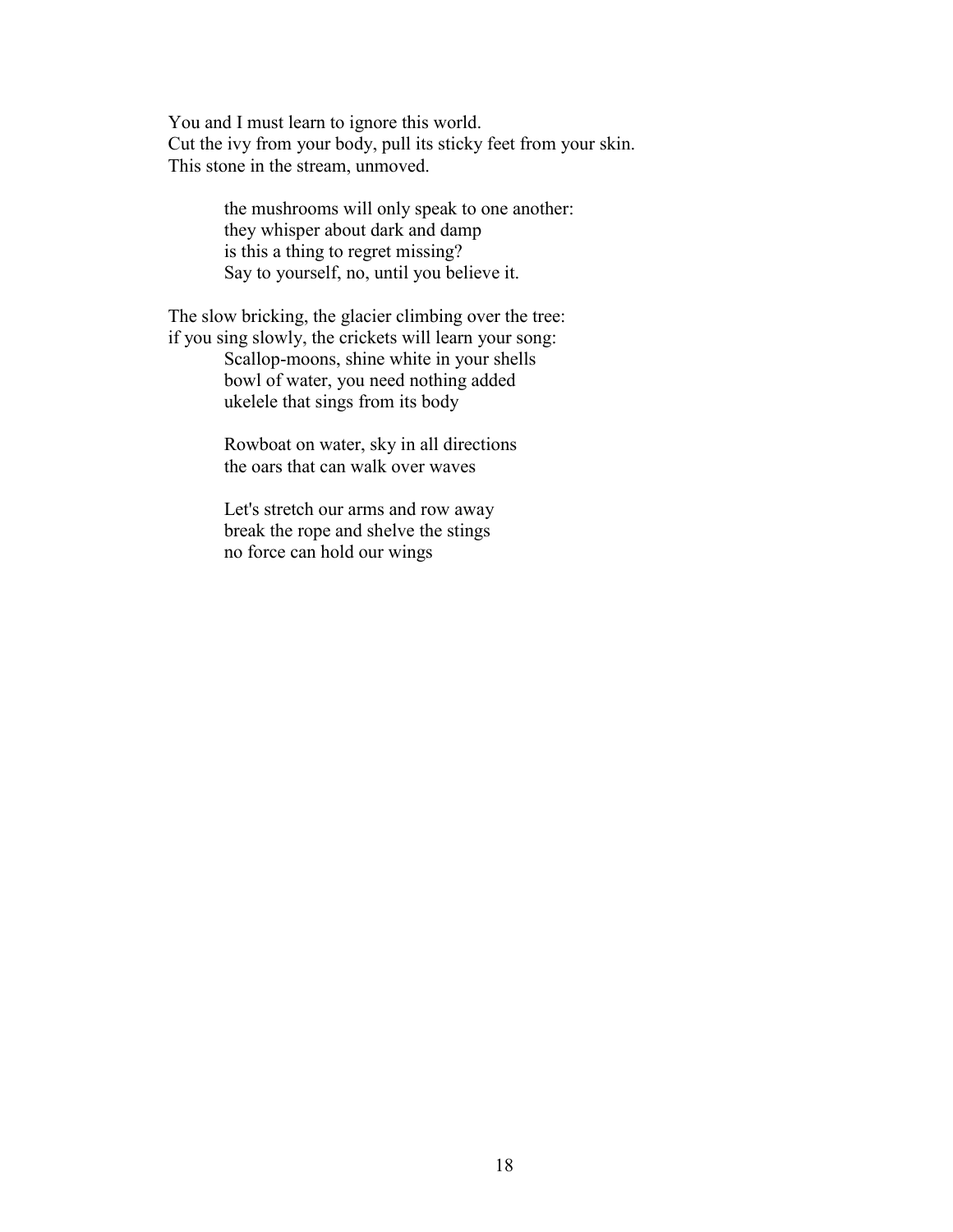You and I must learn to ignore this world. Cut the ivy from your body, pull its sticky feet from your skin. This stone in the stream, unmoved.

> the mushrooms will only speak to one another: they whisper about dark and damp is this a thing to regret missing? Say to yourself, no, until you believe it.

The slow bricking, the glacier climbing over the tree: if you sing slowly, the crickets will learn your song:

Scallop-moons, shine white in your shells bowl of water, you need nothing added ukelele that sings from its body

Rowboat on water, sky in all directions the oars that can walk over waves

Let's stretch our arms and row away break the rope and shelve the stings no force can hold our wings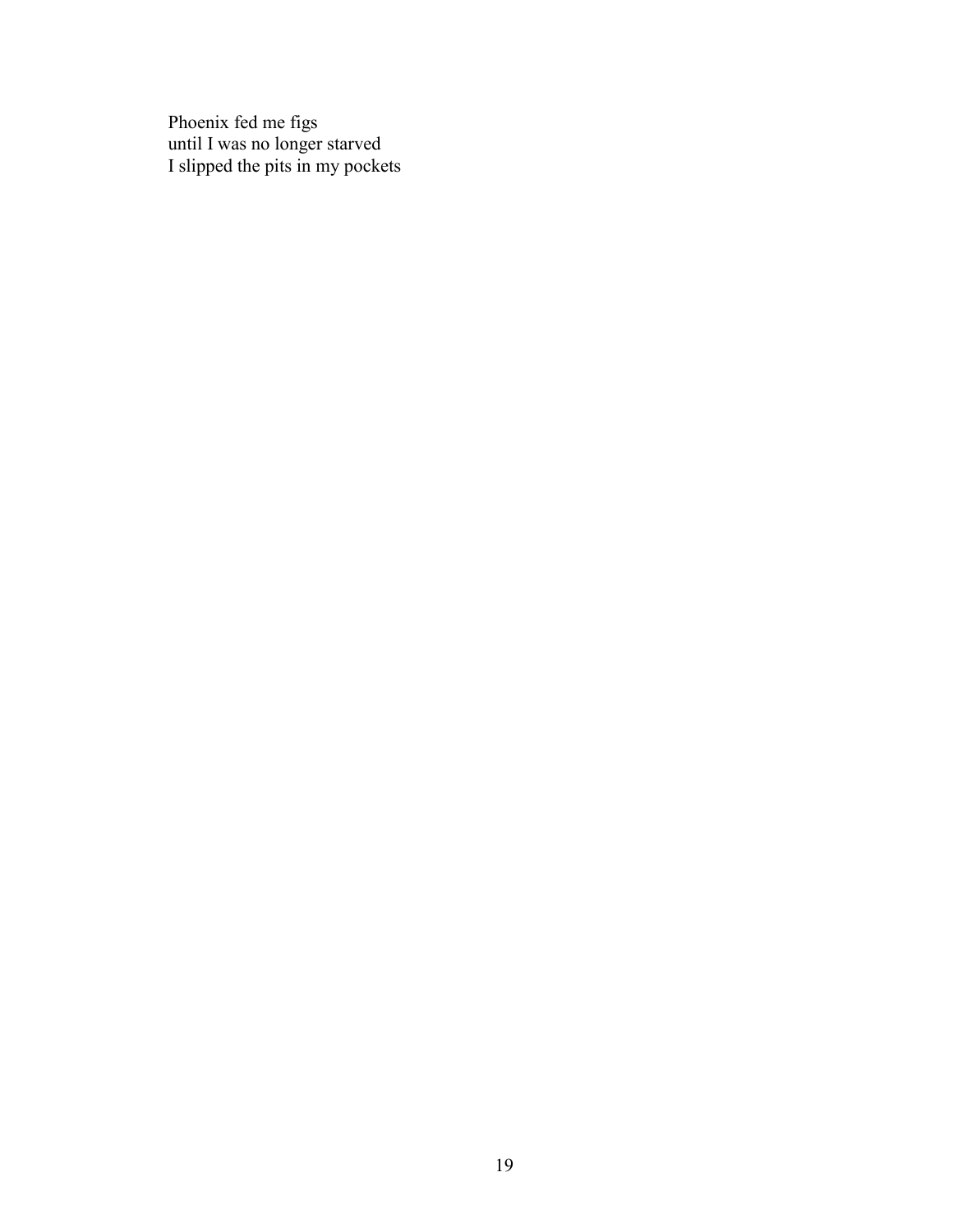Phoenix fed me figs until I was no longer starved I slipped the pits in my pockets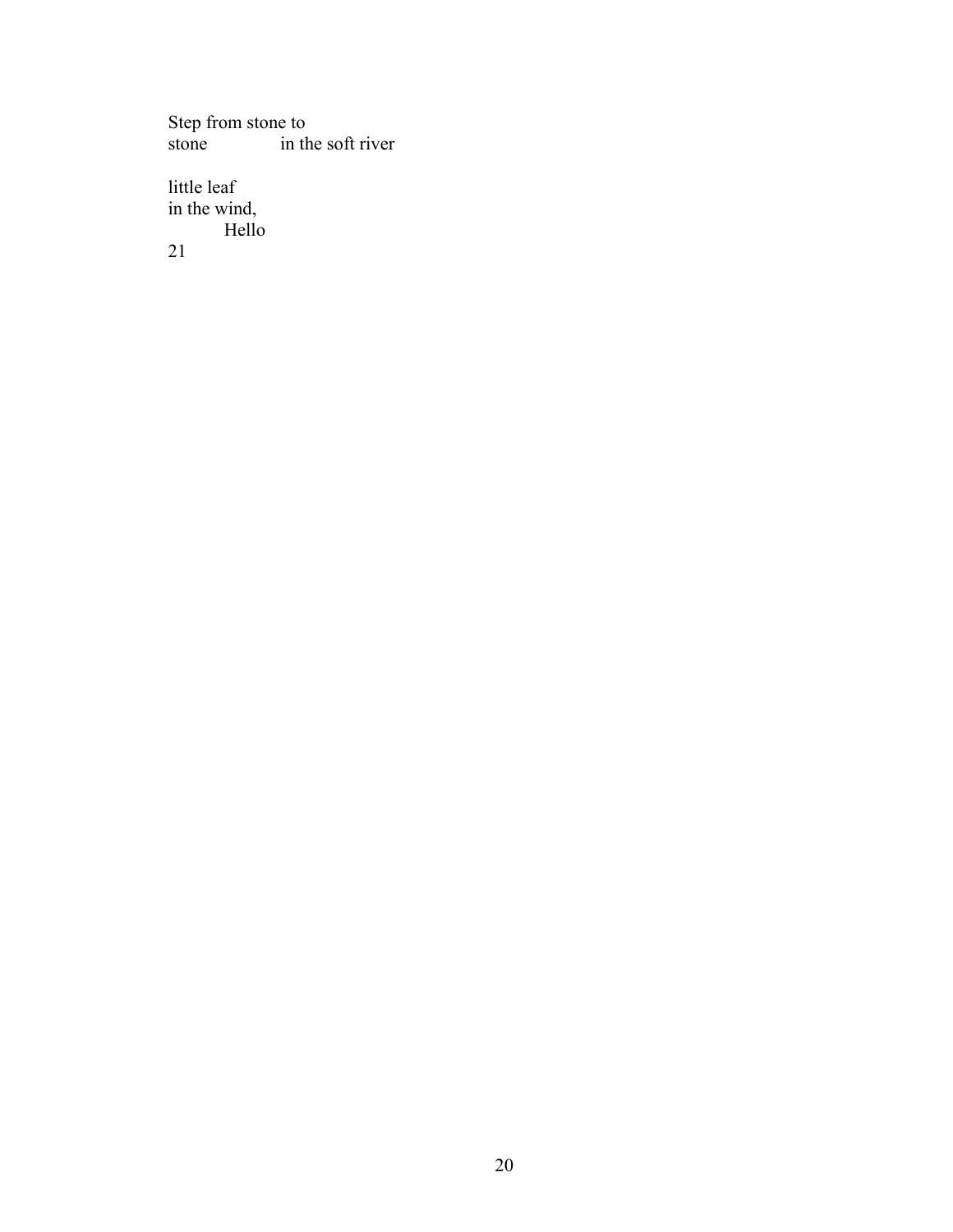Step from stone to<br>stone in the in the soft river

little leaf in the wind, Hello 21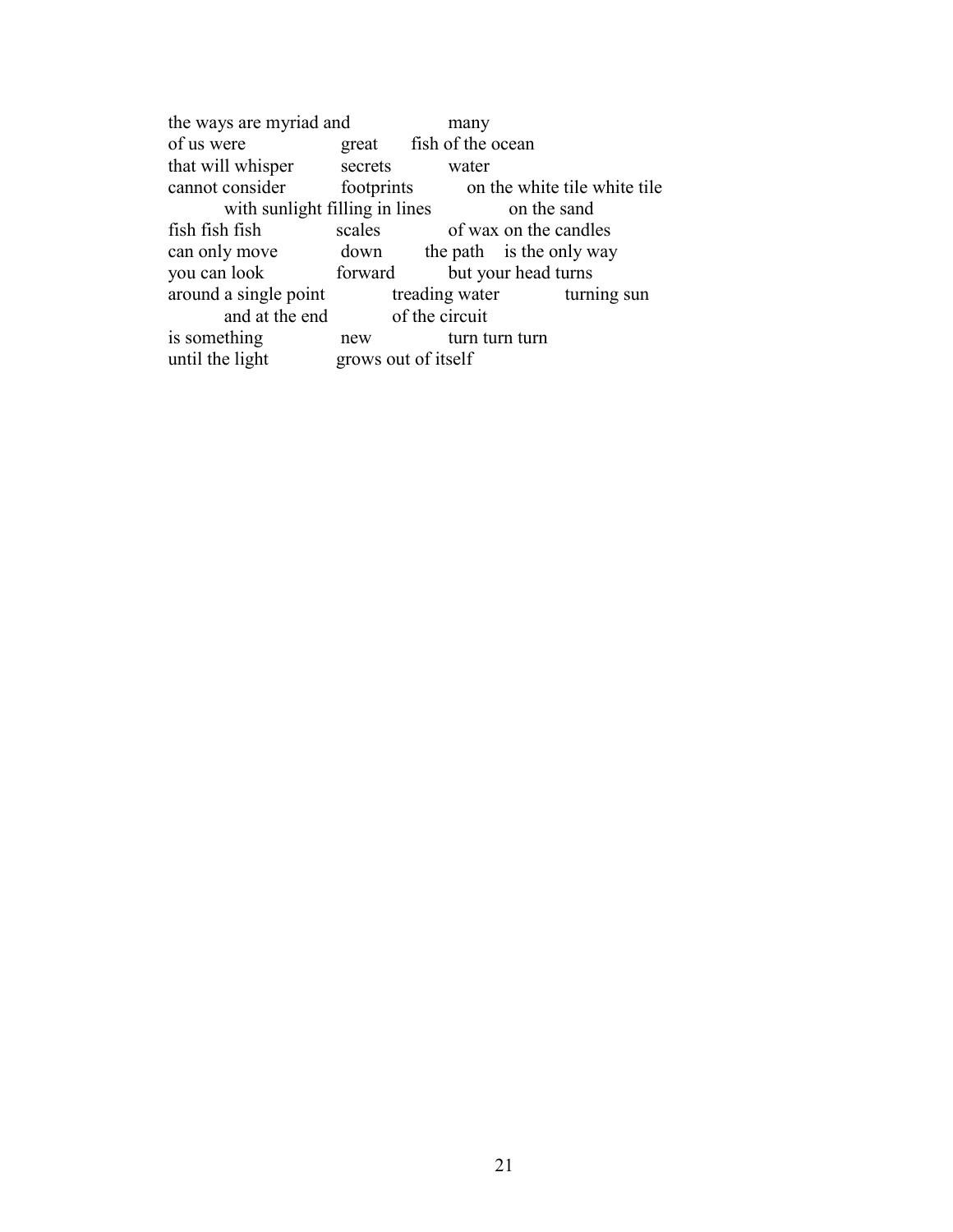the ways are myriad and many<br>of us were great fish of the c great fish of the ocean that will whisper secrets water cannot consider footprints on the white tile white tile with sunlight filling in lines<br>h fish scales of wax on the candle fish fish fish scales of wax on the candles can only move down the path is the only way you can look forward but your head turns<br>around a single point treading water turni around a single point treading water turning sun and at the end of the circuit<br>thing new turn turn turn is something new until the light grows out of itself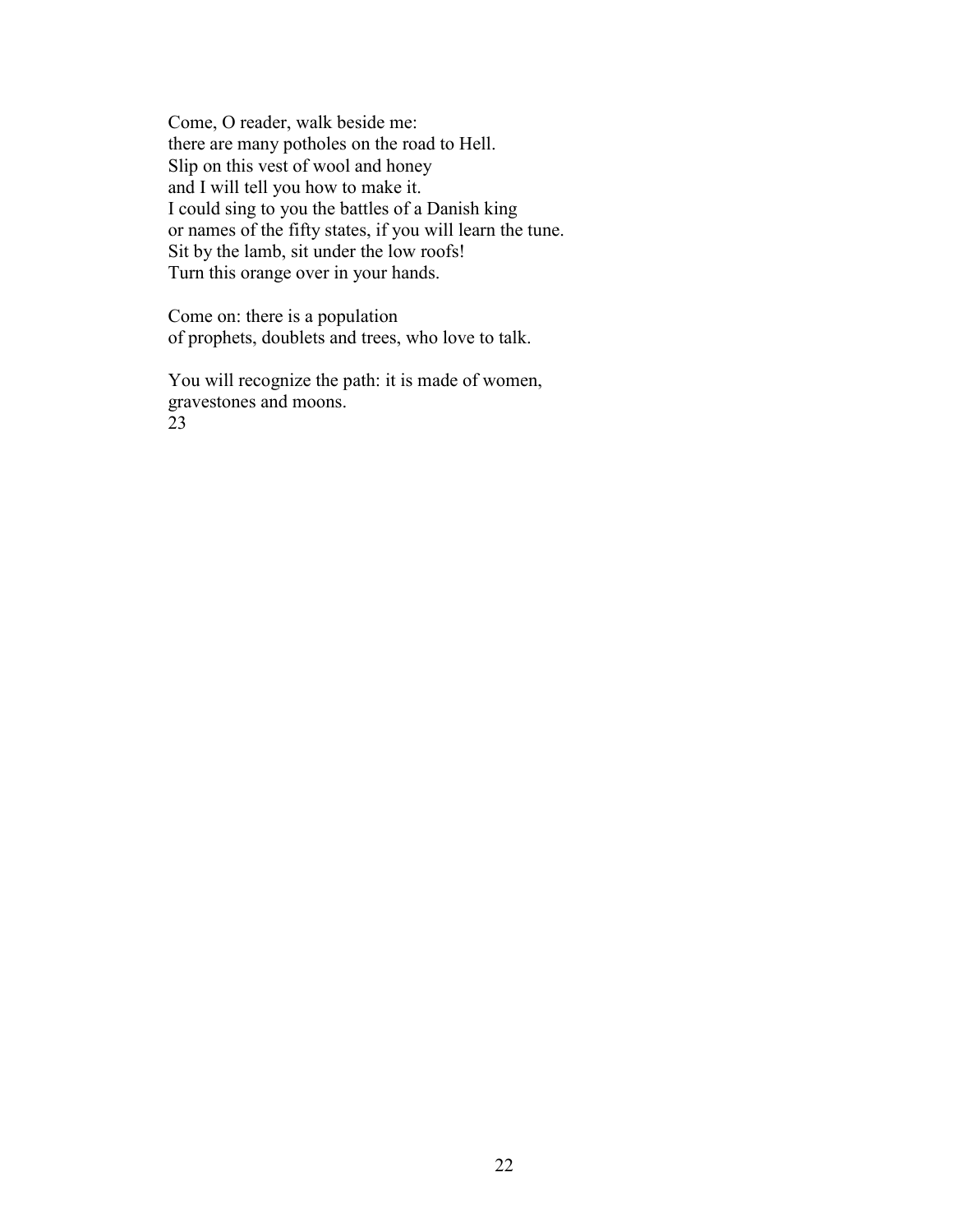Come, O reader, walk beside me: there are many potholes on the road to Hell. Slip on this vest of wool and honey and I will tell you how to make it. I could sing to you the battles of a Danish king or names of the fifty states, if you will learn the tune. Sit by the lamb, sit under the low roofs! Turn this orange over in your hands.

Come on: there is a population of prophets, doublets and trees, who love to talk.

You will recognize the path: it is made of women, gravestones and moons. 23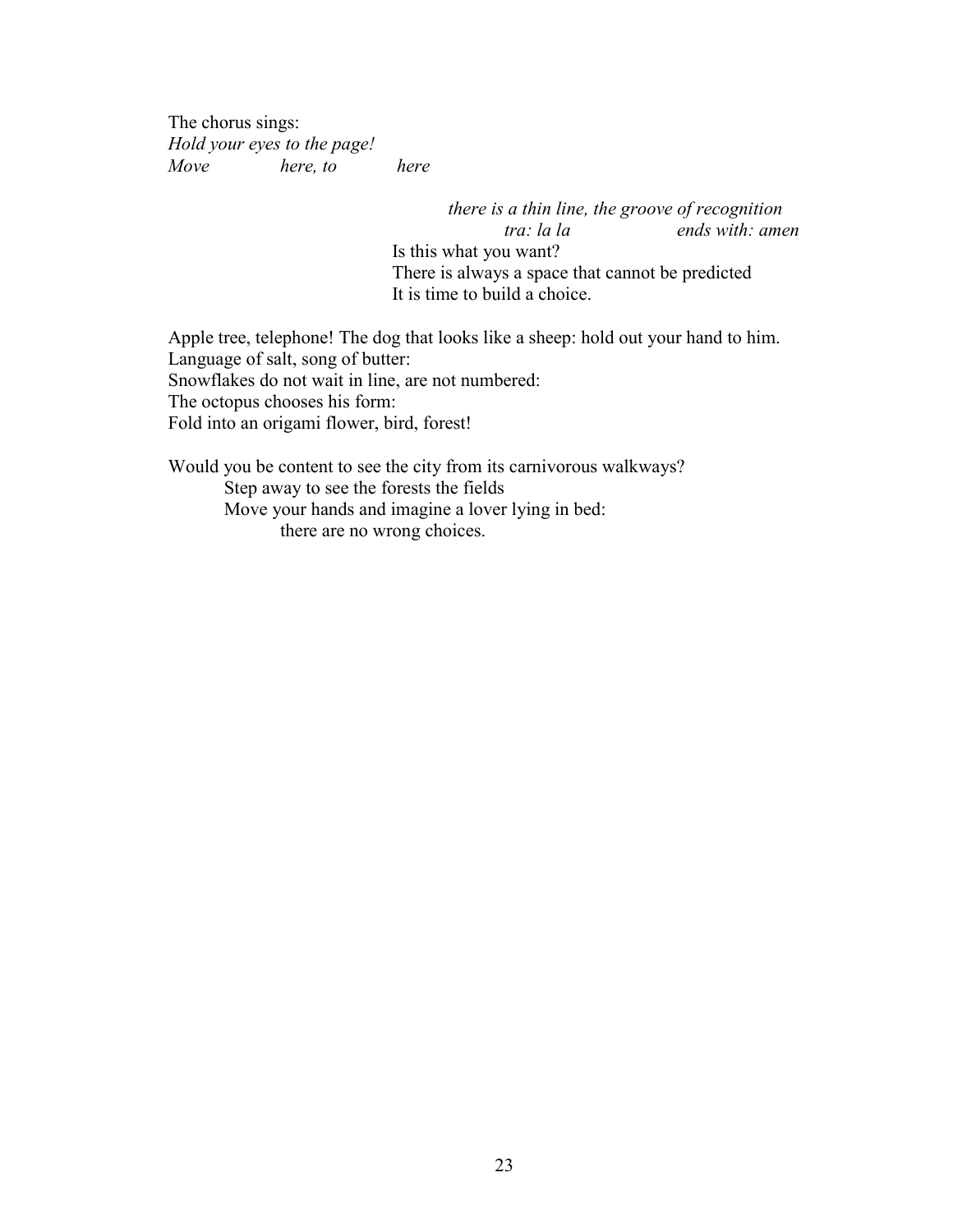The chorus sings: *Hold your eyes to the page! Move here, to here*

> *there is a thin line, the groove of recognition tra: la la ends with: amen* Is this what you want? There is always a space that cannot be predicted It is time to build a choice.

Apple tree, telephone! The dog that looks like a sheep: hold out your hand to him. Language of salt, song of butter: Snowflakes do not wait in line, are not numbered: The octopus chooses his form: Fold into an origami flower, bird, forest!

Would you be content to see the city from its carnivorous walkways? Step away to see the forests the fields Move your hands and imagine a lover lying in bed: there are no wrong choices.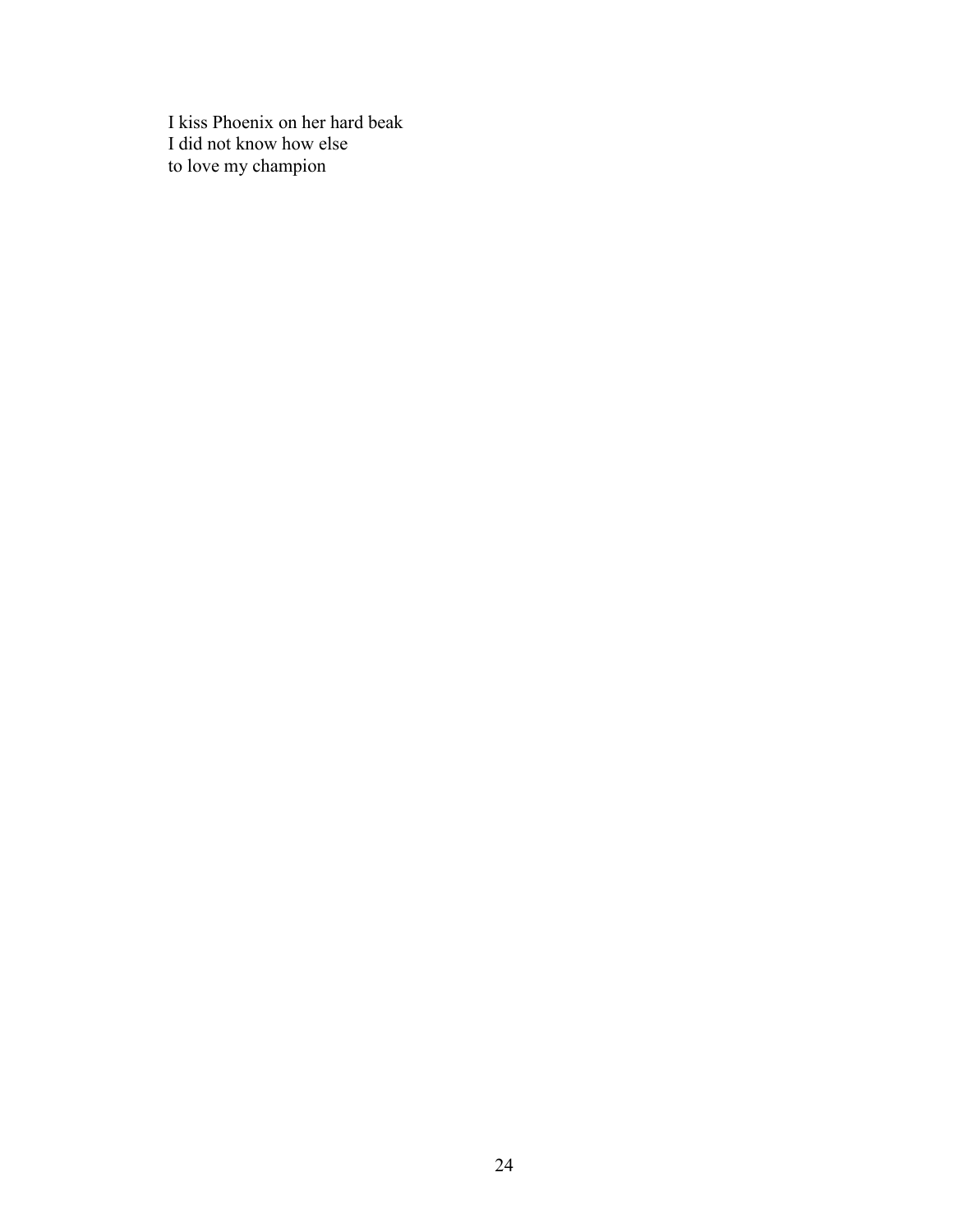I kiss Phoenix on her hard beak I did not know how else to love my champion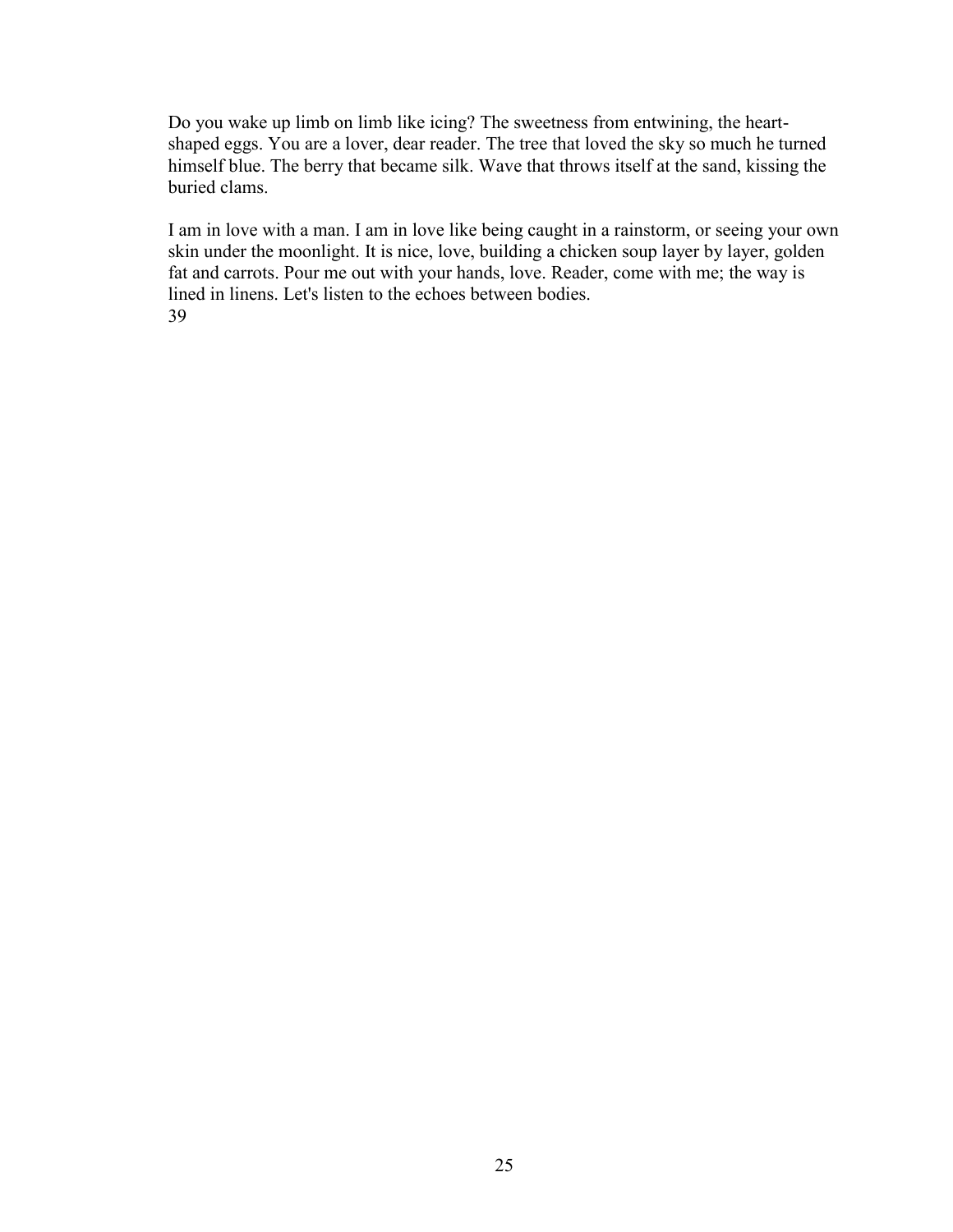Do you wake up limb on limb like icing? The sweetness from entwining, the heartshaped eggs. You are a lover, dear reader. The tree that loved the sky so much he turned himself blue. The berry that became silk. Wave that throws itself at the sand, kissing the buried clams.

I am in love with a man. I am in love like being caught in a rainstorm, or seeing your own skin under the moonlight. It is nice, love, building a chicken soup layer by layer, golden fat and carrots. Pour me out with your hands, love. Reader, come with me; the way is lined in linens. Let's listen to the echoes between bodies. 39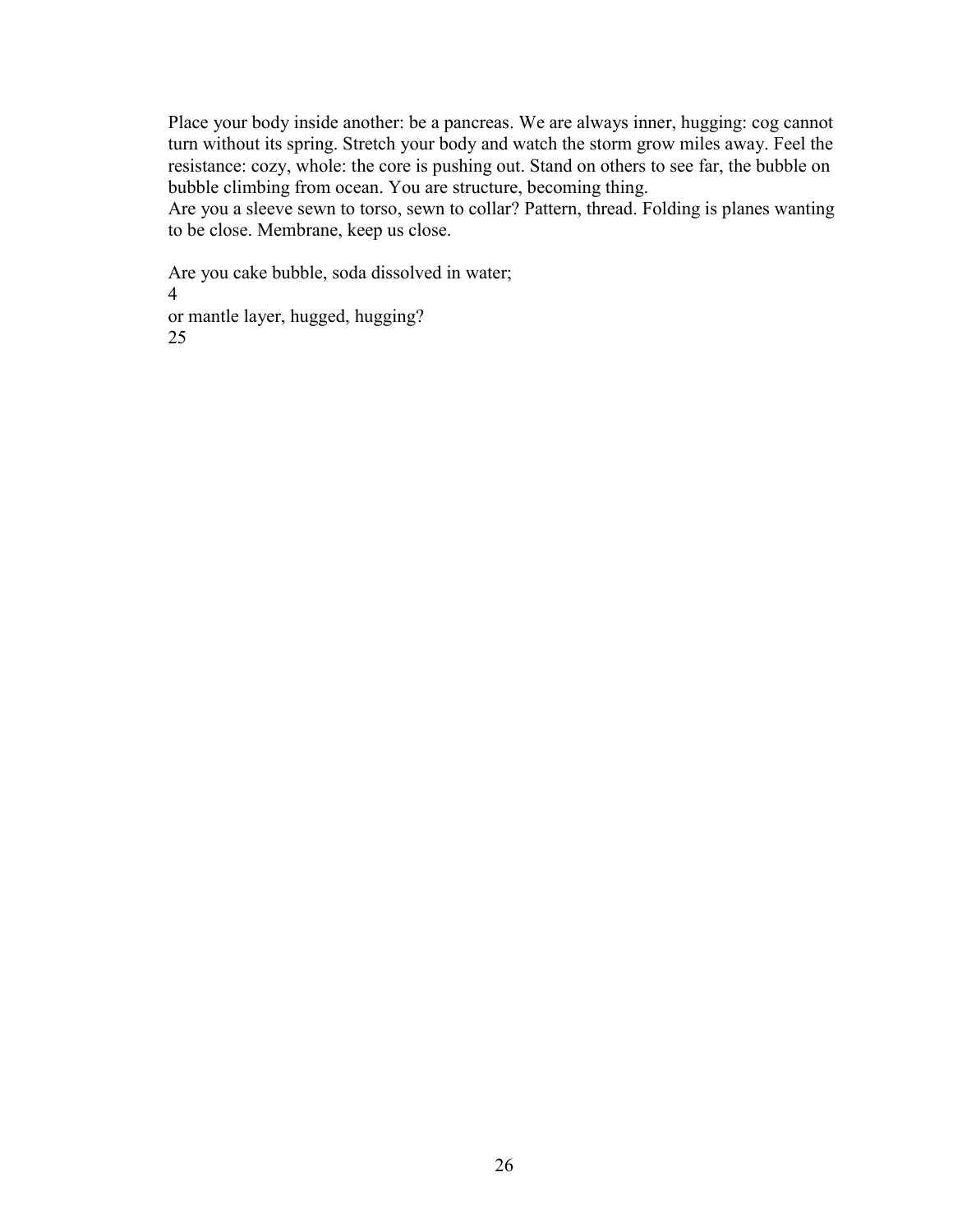Place your body inside another: be a pancreas. We are always inner, hugging: cog cannot turn without its spring. Stretch your body and watch the storm grow miles away. Feel the resistance: cozy, whole: the core is pushing out. Stand on others to see far, the bubble on bubble climbing from ocean. You are structure, becoming thing.

Are you a sleeve sewn to torso, sewn to collar? Pattern, thread. Folding is planes wanting to be close. Membrane, keep us close.

Are you cake bubble, soda dissolved in water; 4 or mantle layer, hugged, hugging? 25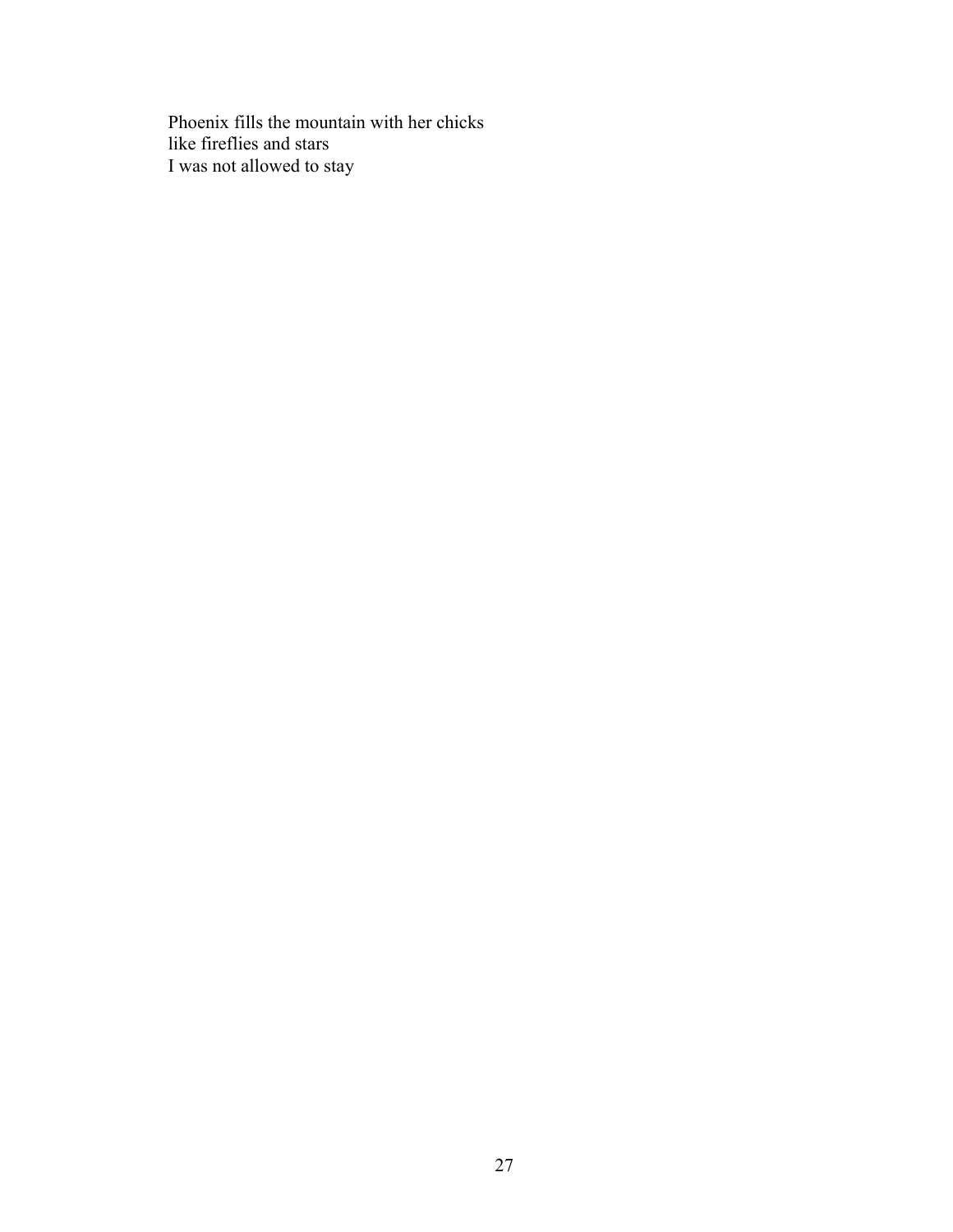Phoenix fills the mountain with her chicks like fireflies and stars I was not allowed to stay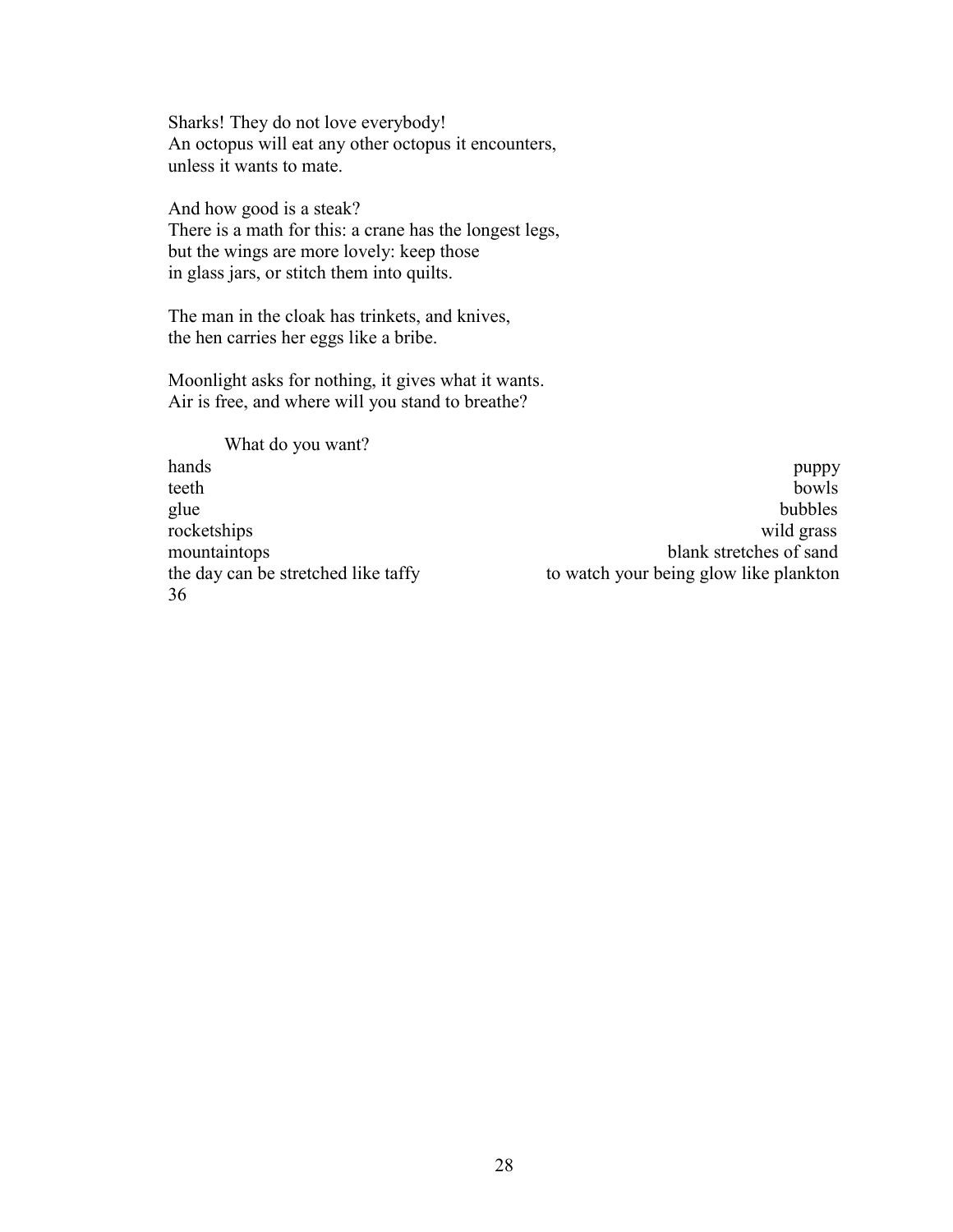Sharks! They do not love everybody! An octopus will eat any other octopus it encounters, unless it wants to mate.

And how good is a steak? There is a math for this: a crane has the longest legs, but the wings are more lovely: keep those in glass jars, or stitch them into quilts.

The man in the cloak has trinkets, and knives, the hen carries her eggs like a bribe.

Moonlight asks for nothing, it gives what it wants. Air is free, and where will you stand to breathe?

What do you want? 36

hands **puppy** teeth bowls glue bubbles and the contract of the contract of the bubbles bubbles bubbles rocketships wild grass mountaintops blank stretches of sand the day can be stretched like taffy to watch your being glow like plankton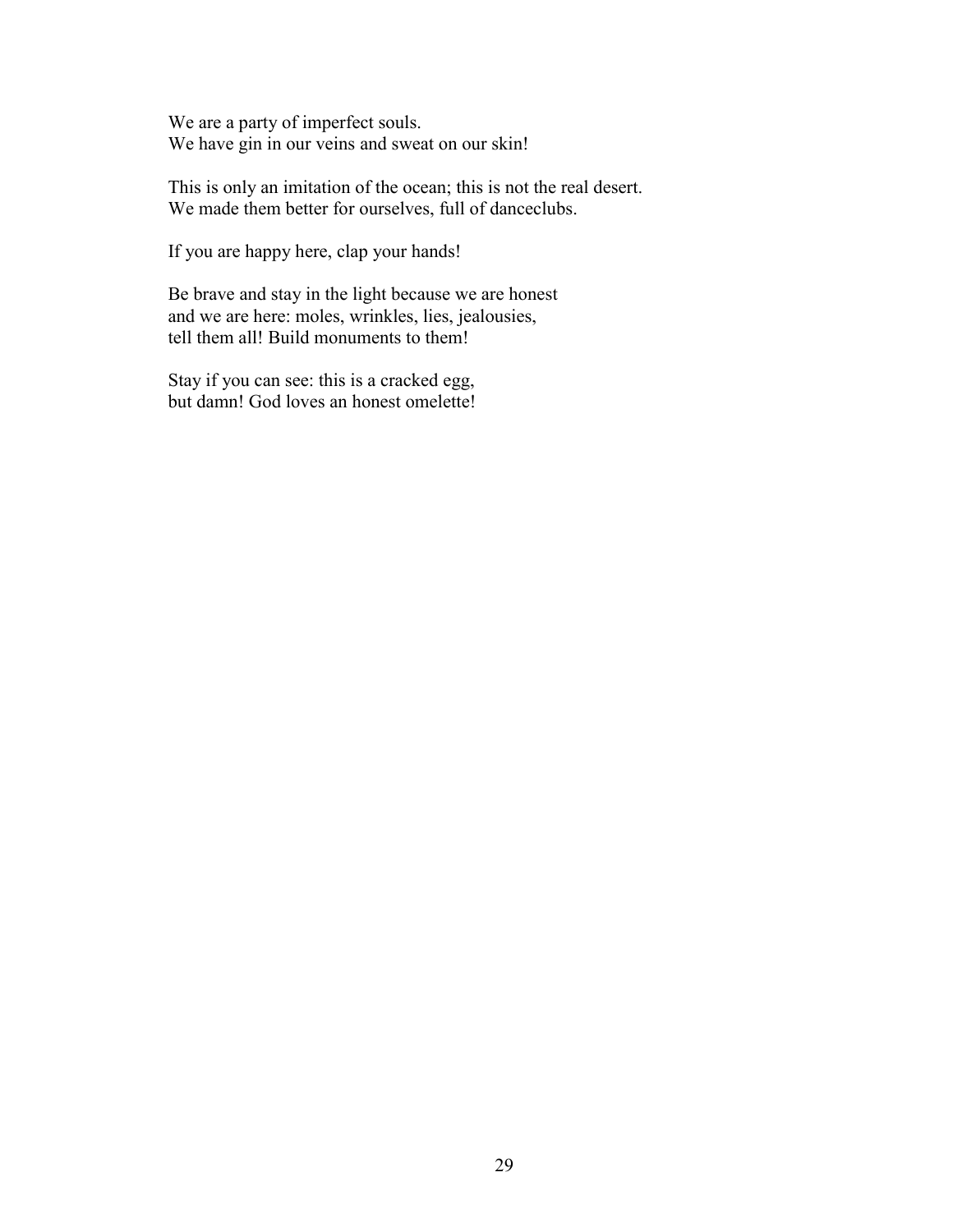We are a party of imperfect souls. We have gin in our veins and sweat on our skin!

This is only an imitation of the ocean; this is not the real desert. We made them better for ourselves, full of danceclubs.

If you are happy here, clap your hands!

Be brave and stay in the light because we are honest and we are here: moles, wrinkles, lies, jealousies, tell them all! Build monuments to them!

Stay if you can see: this is a cracked egg, but damn! God loves an honest omelette!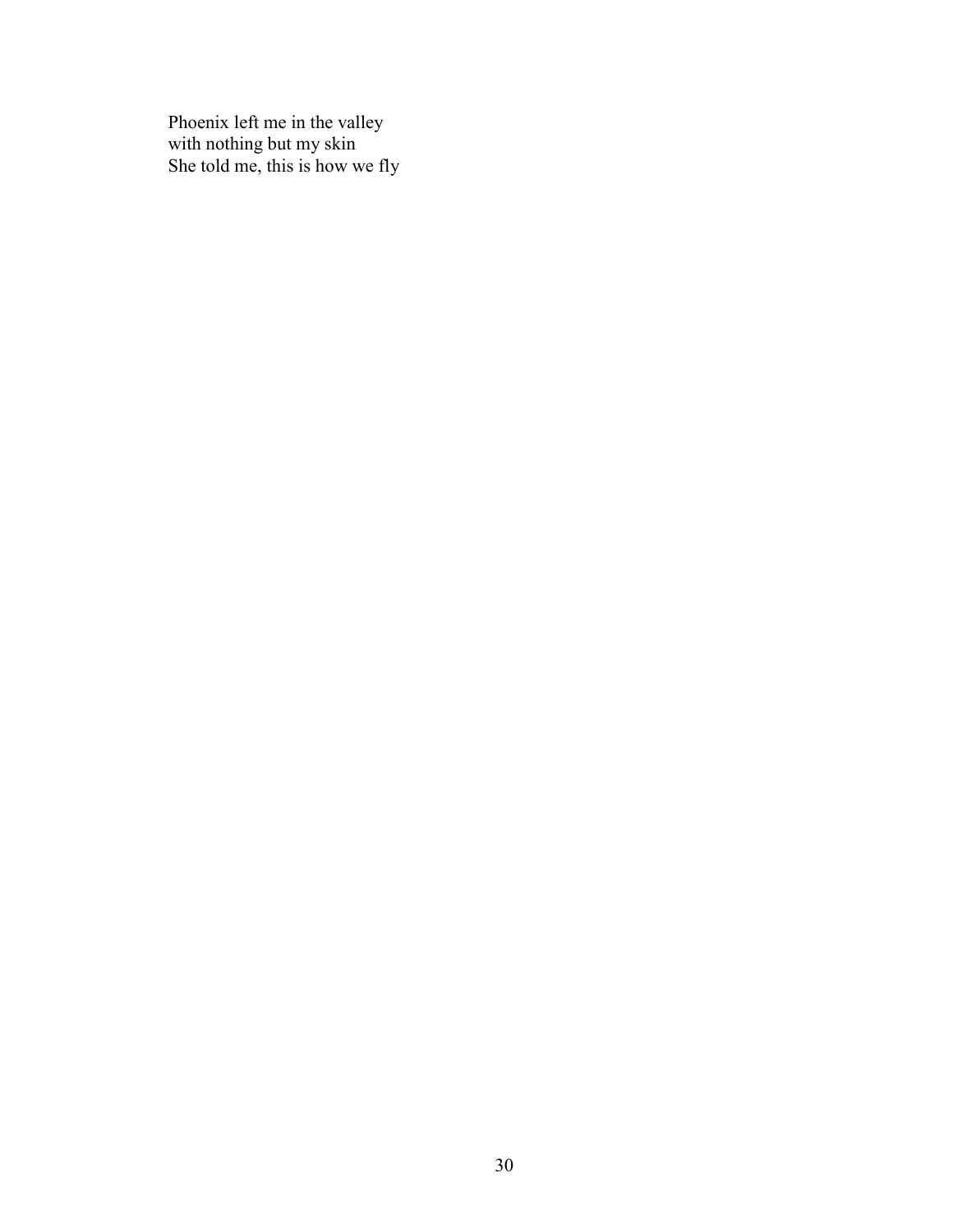Phoenix left me in the valley with nothing but my skin She told me, this is how we fly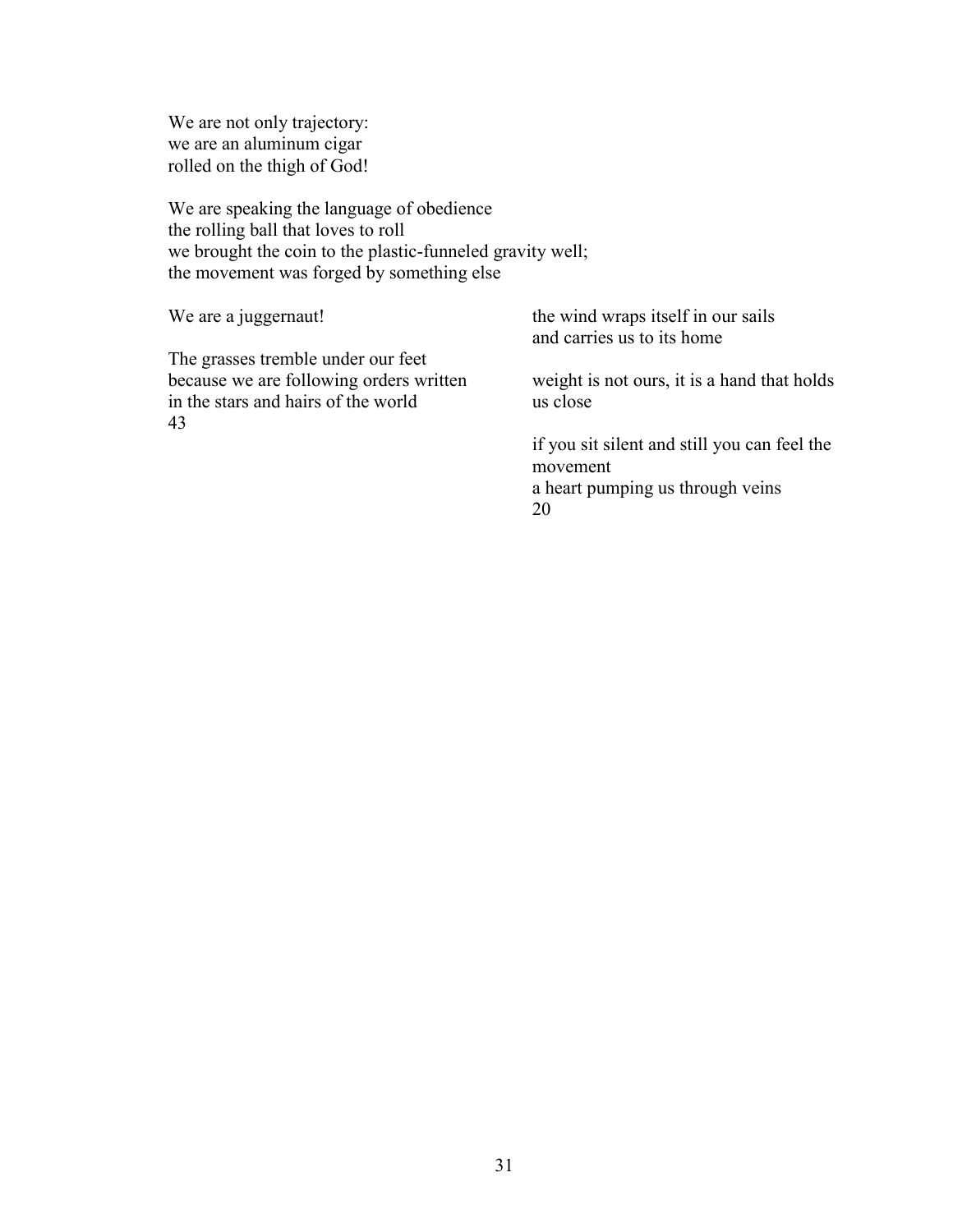We are not only trajectory: we are an aluminum cigar rolled on the thigh of God!

We are speaking the language of obedience the rolling ball that loves to roll we brought the coin to the plastic-funneled gravity well; the movement was forged by something else

| We are a juggernaut!                                                           | the wind wraps itself in our sails<br>and carries us to its home |
|--------------------------------------------------------------------------------|------------------------------------------------------------------|
| The grasses tremble under our feet                                             |                                                                  |
| because we are following orders written<br>in the stars and hairs of the world | weight is not ours, it is a hand that holds<br>us close          |
| 43                                                                             |                                                                  |
|                                                                                | if you sit silent and still you can feel the<br>movement         |
|                                                                                | a heart pumping us through veins                                 |
|                                                                                | 20                                                               |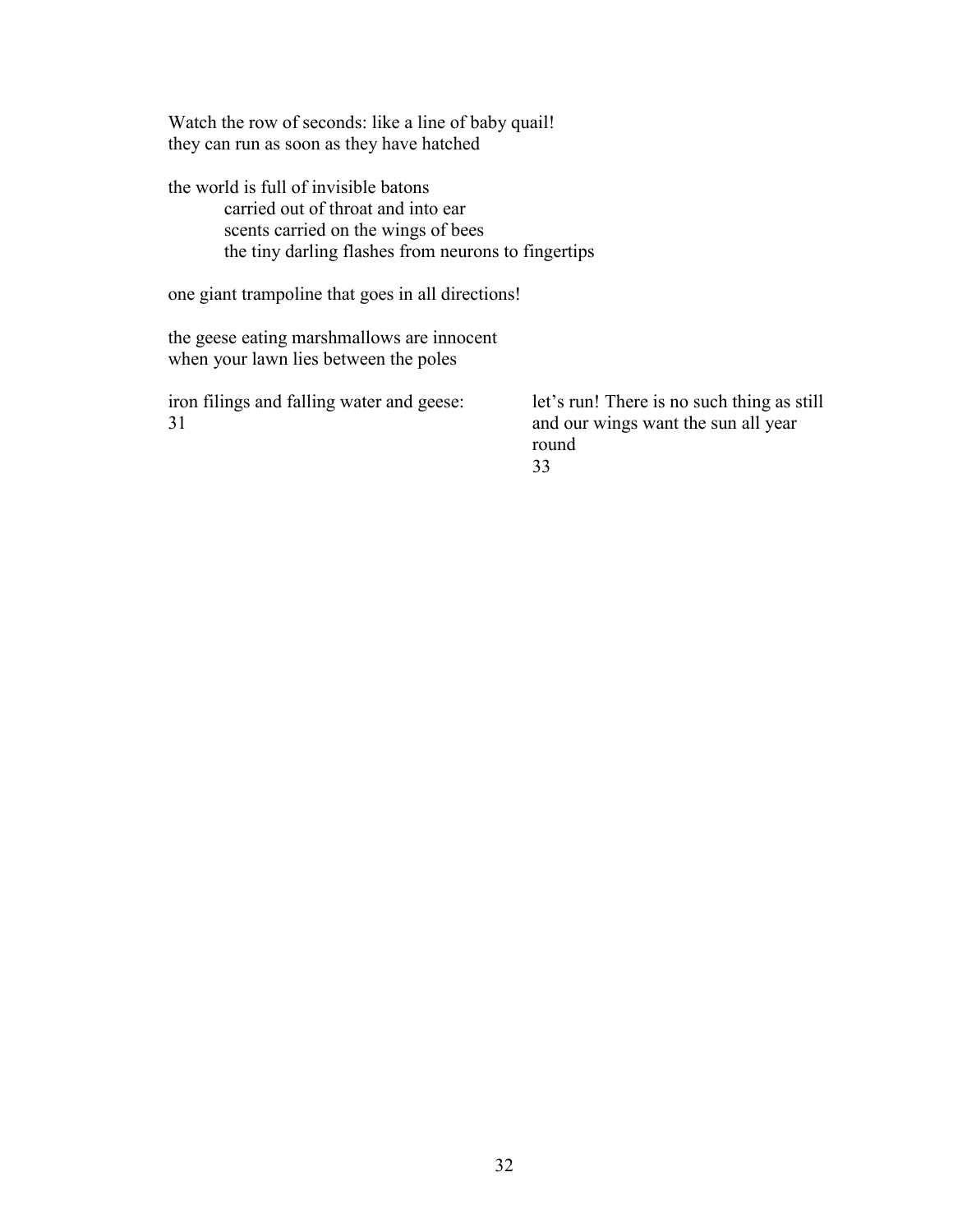Watch the row of seconds: like a line of baby quail! they can run as soon as they have hatched

the world is full of invisible batons carried out of throat and into ear scents carried on the wings of bees the tiny darling flashes from neurons to fingertips

one giant trampoline that goes in all directions!

the geese eating marshmallows are innocent when your lawn lies between the poles

iron filings and falling water and geese: 31

let's run! There is no such thing as still and our wings want the sun all year round 33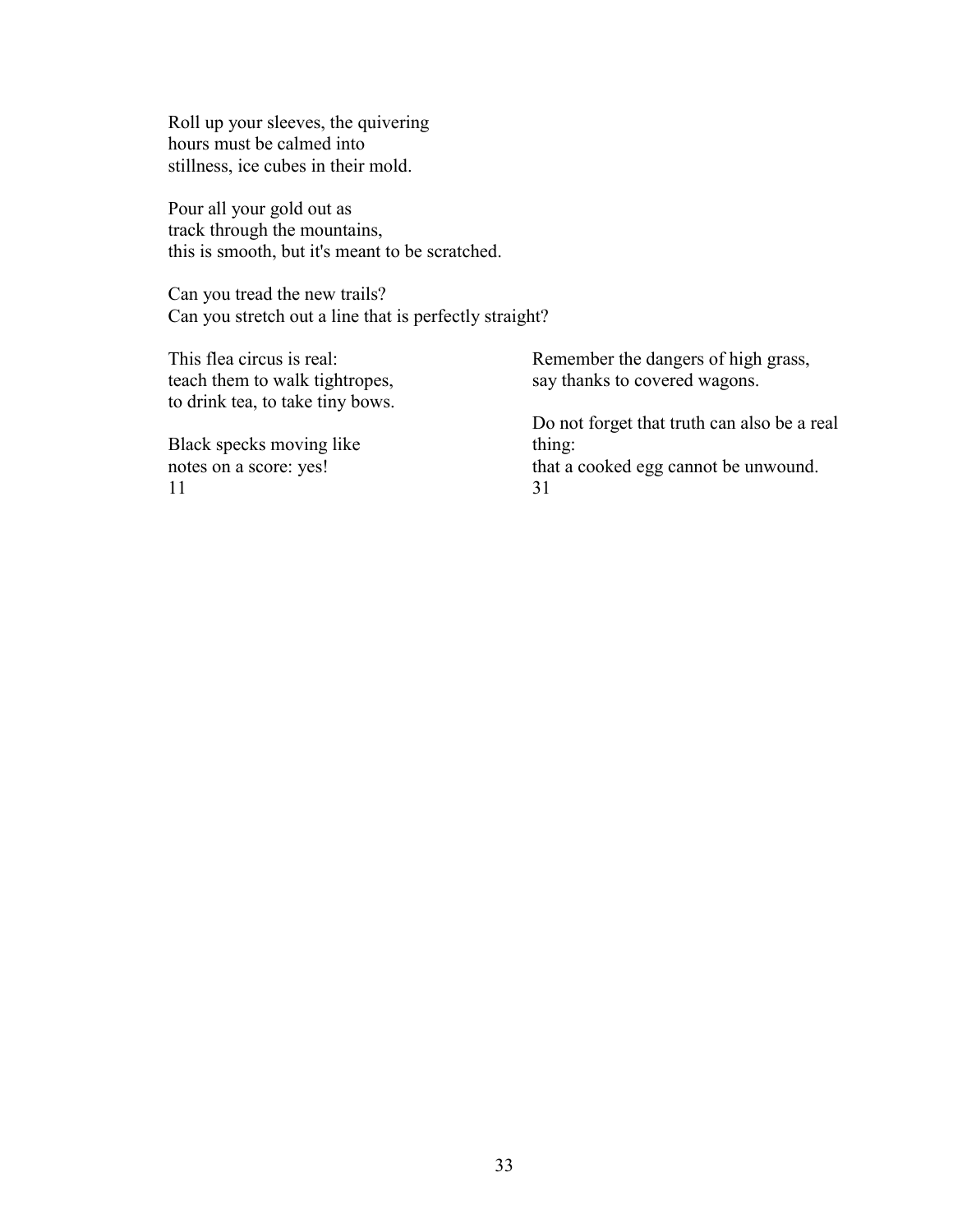Roll up your sleeves, the quivering hours must be calmed into stillness, ice cubes in their mold.

Pour all your gold out as track through the mountains, this is smooth, but it's meant to be scratched.

Can you tread the new trails? Can you stretch out a line that is perfectly straight?

This flea circus is real: teach them to walk tightropes, to drink tea, to take tiny bows.

Black specks moving like notes on a score: yes! 11

Remember the dangers of high grass, say thanks to covered wagons.

Do not forget that truth can also be a real thing: that a cooked egg cannot be unwound. 31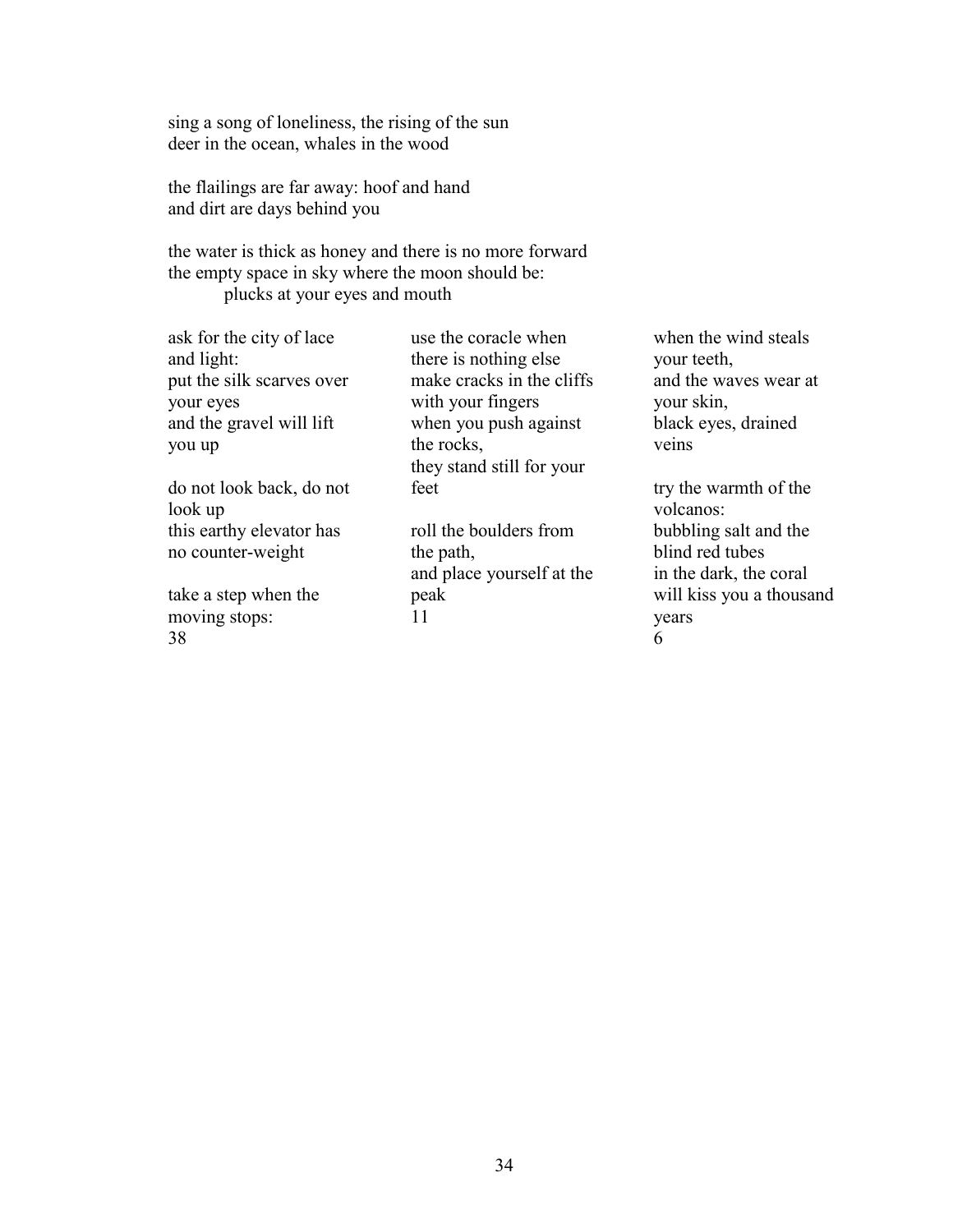sing a song of loneliness, the rising of the sun deer in the ocean, whales in the wood

the flailings are far away: hoof and hand and dirt are days behind you

the water is thick as honey and there is no more forward the empty space in sky where the moon should be: plucks at your eyes and mouth

| ask for the city of lace  | use the coracle when      |
|---------------------------|---------------------------|
| and light:                | there is nothing else     |
| put the silk scarves over | make cracks in the cliffs |
| your eyes                 | with your fingers         |
| and the gravel will lift  | when you push against     |
| you up                    | the rocks,                |
|                           | they stand still for your |
| do not look back, do not  | feet                      |
| look up                   |                           |
| this earthy elevator has  | roll the boulders from    |
| no counter-weight         | the path,                 |
|                           | and place yourself at the |
| take a step when the      | peak                      |
| moving stops:             |                           |
| 38                        |                           |

when the wind steals your teeth, and the waves wear at your skin, black eyes, drained veins

try the warmth of the volcanos: bubbling salt and the blind red tubes in the dark, the coral will kiss you a thousand years 6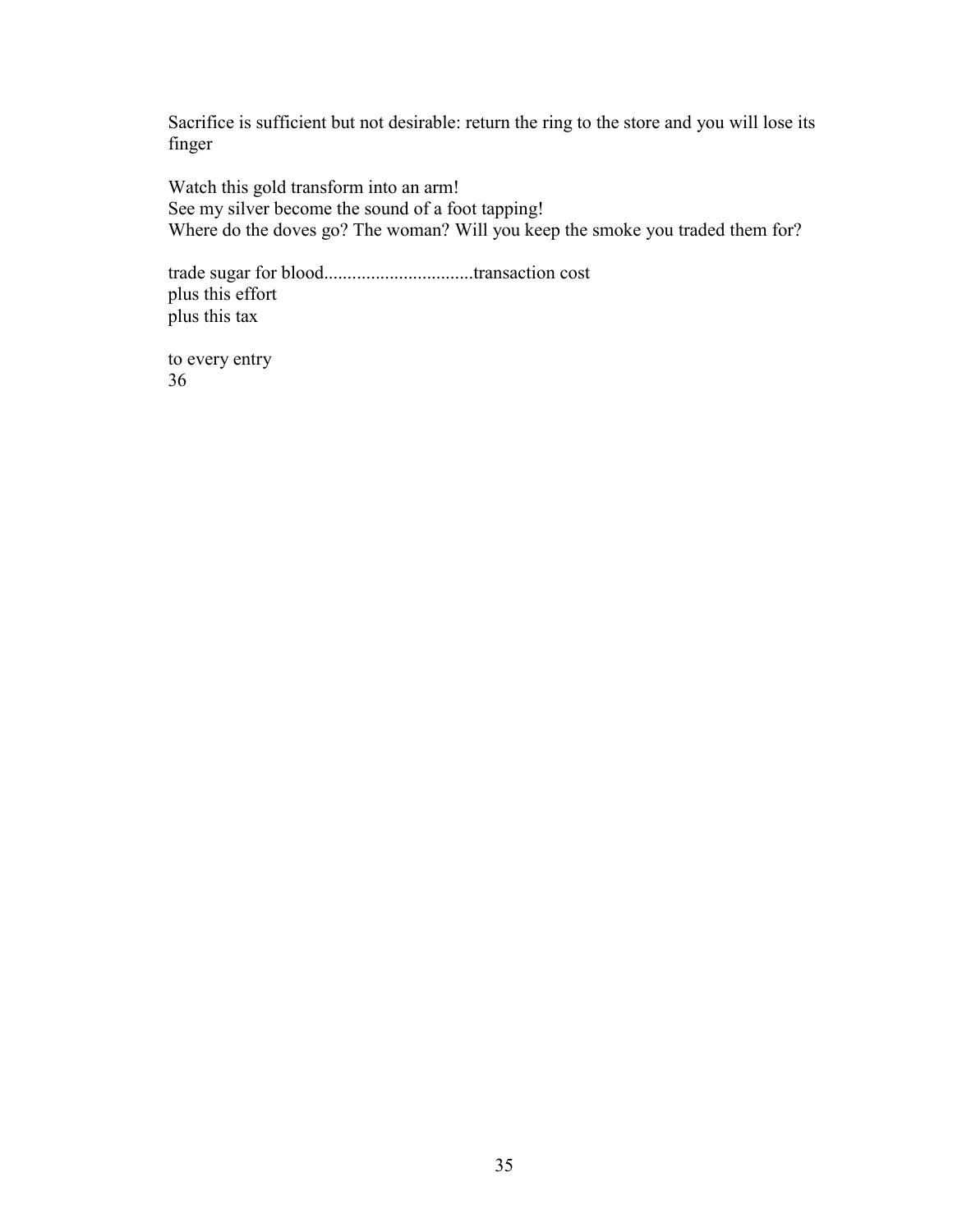Sacrifice is sufficient but not desirable: return the ring to the store and you will lose its finger

Watch this gold transform into an arm! See my silver become the sound of a foot tapping! Where do the doves go? The woman? Will you keep the smoke you traded them for?

trade sugar for blood................................transaction cost plus this effort plus this tax

to every entry 36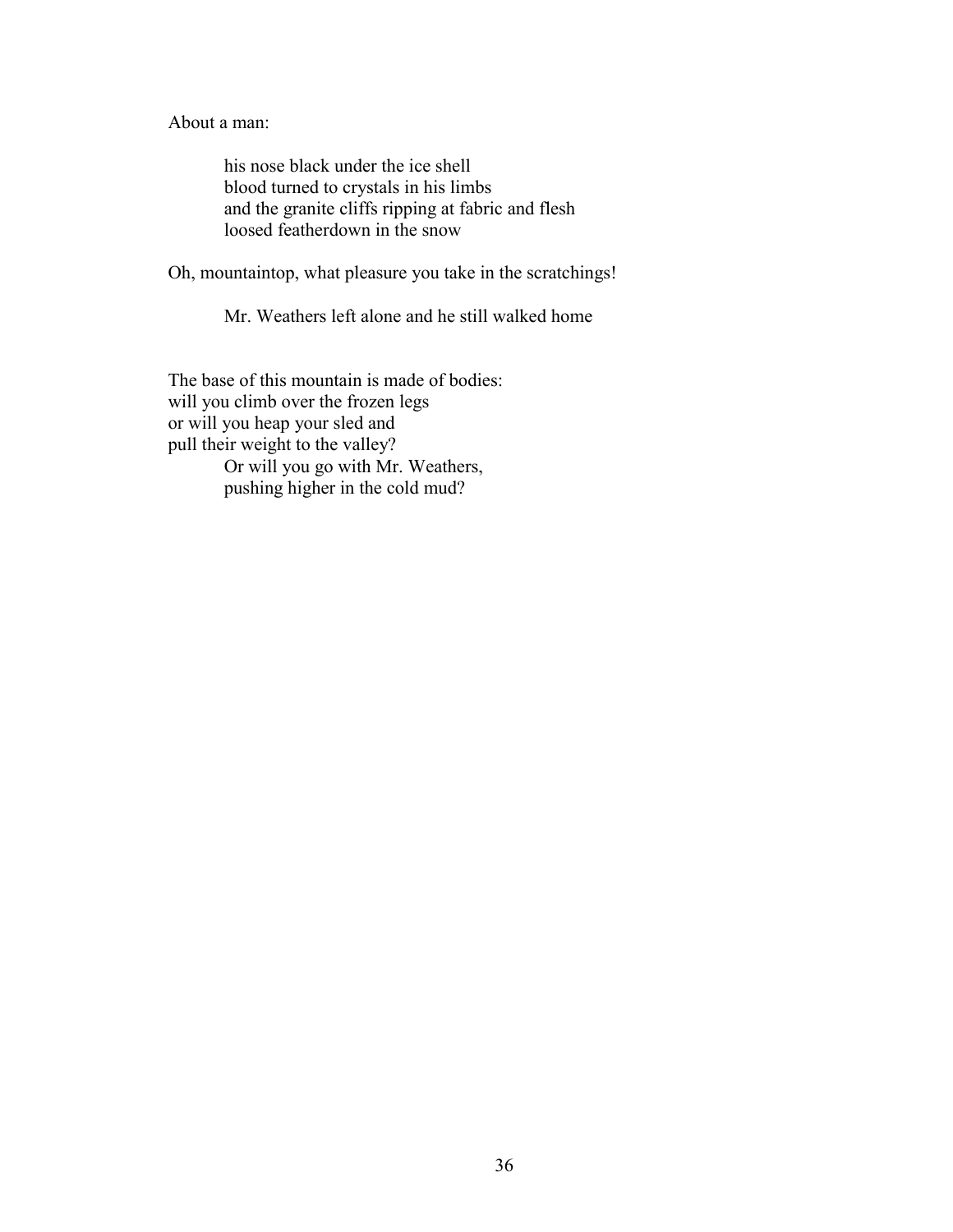About a man:

his nose black under the ice shell blood turned to crystals in his limbs and the granite cliffs ripping at fabric and flesh loosed featherdown in the snow

Oh, mountaintop, what pleasure you take in the scratchings!

Mr. Weathers left alone and he still walked home

The base of this mountain is made of bodies: will you climb over the frozen legs or will you heap your sled and pull their weight to the valley? Or will you go with Mr. Weathers, pushing higher in the cold mud?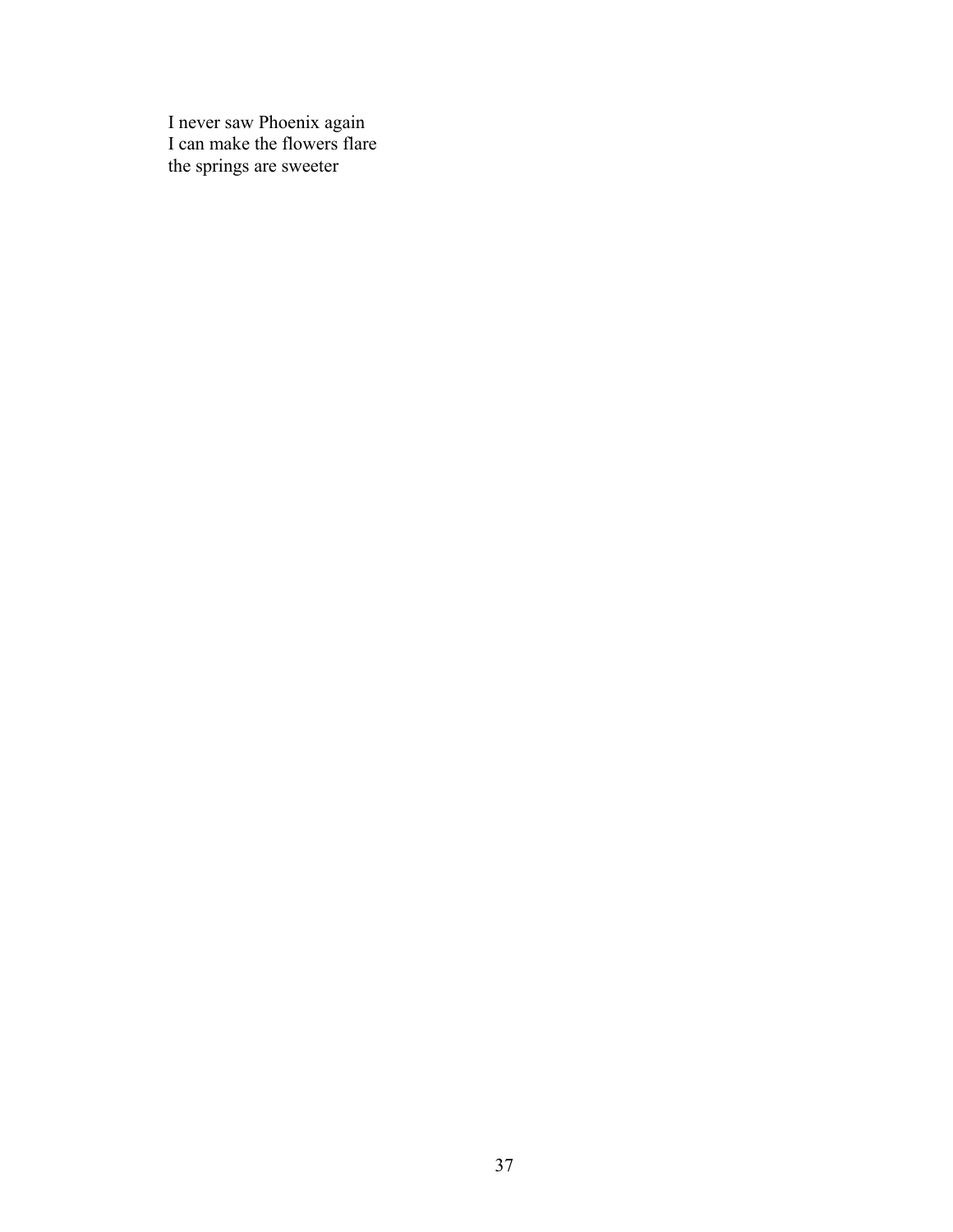I never saw Phoenix again I can make the flowers flare the springs are sweeter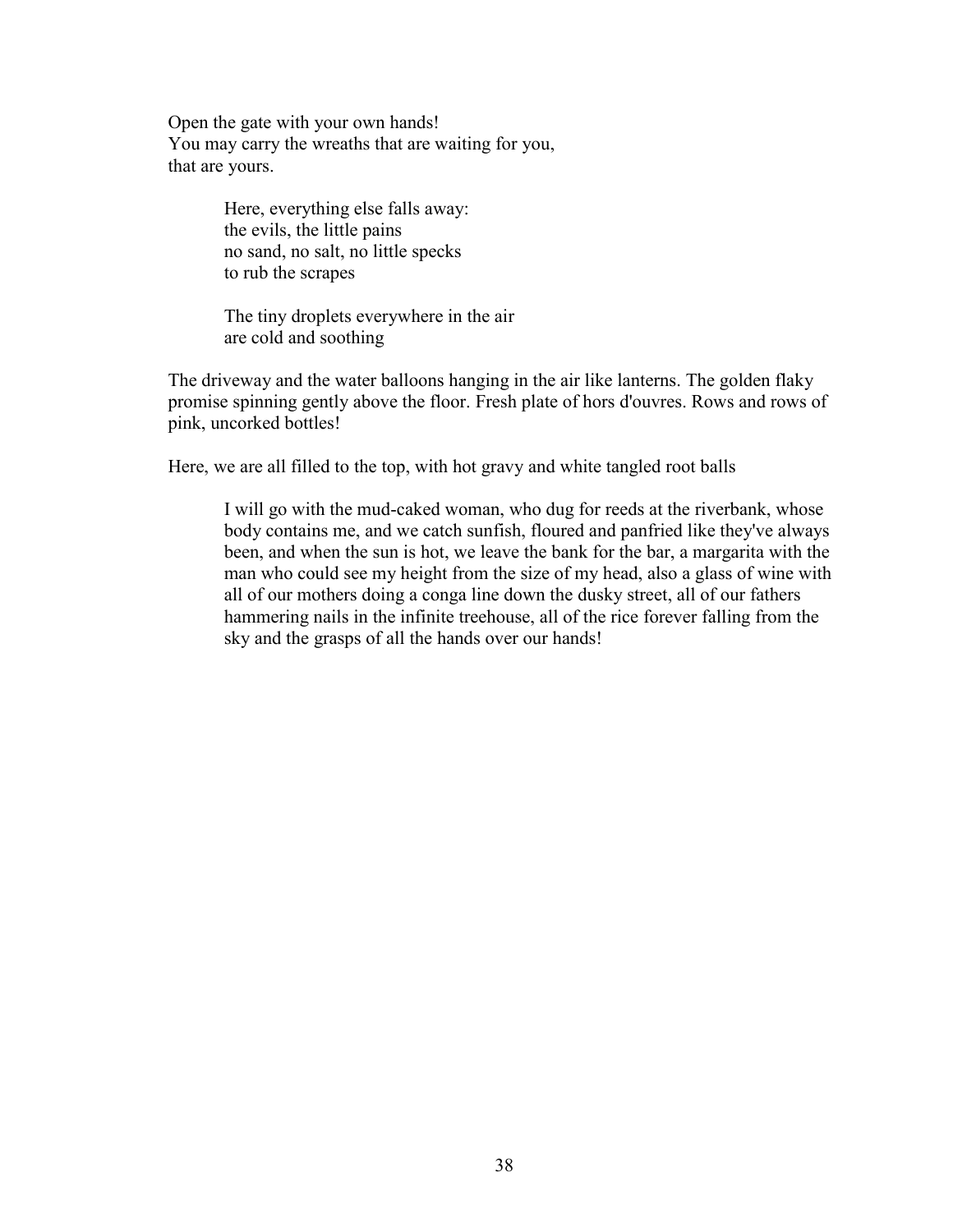Open the gate with your own hands! You may carry the wreaths that are waiting for you, that are yours.

> Here, everything else falls away: the evils, the little pains no sand, no salt, no little specks to rub the scrapes

The tiny droplets everywhere in the air are cold and soothing

The driveway and the water balloons hanging in the air like lanterns. The golden flaky promise spinning gently above the floor. Fresh plate of hors d'ouvres. Rows and rows of pink, uncorked bottles!

Here, we are all filled to the top, with hot gravy and white tangled root balls

I will go with the mud-caked woman, who dug for reeds at the riverbank, whose body contains me, and we catch sunfish, floured and panfried like they've always been, and when the sun is hot, we leave the bank for the bar, a margarita with the man who could see my height from the size of my head, also a glass of wine with all of our mothers doing a conga line down the dusky street, all of our fathers hammering nails in the infinite treehouse, all of the rice forever falling from the sky and the grasps of all the hands over our hands!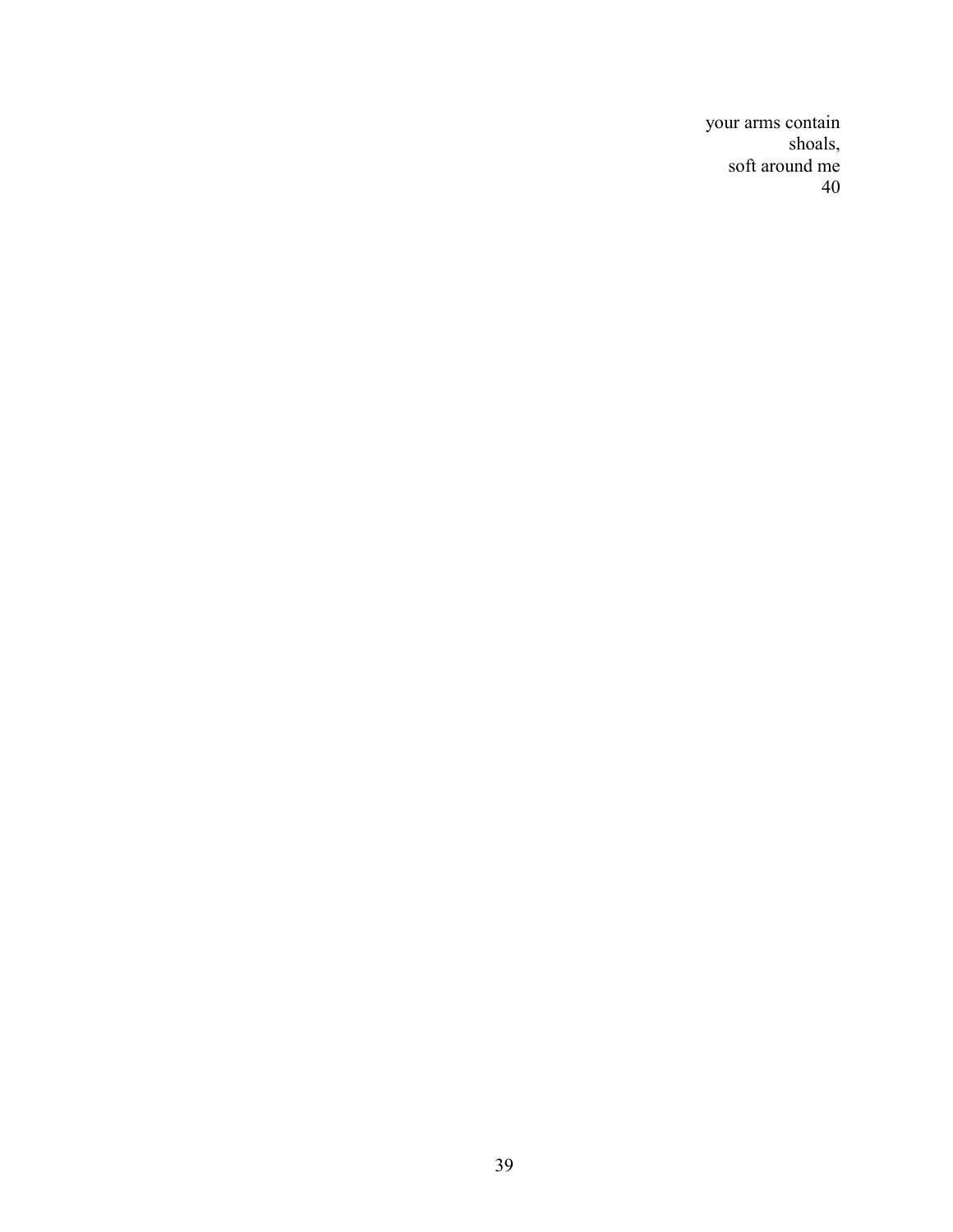your arms contain shoals, soft around me 40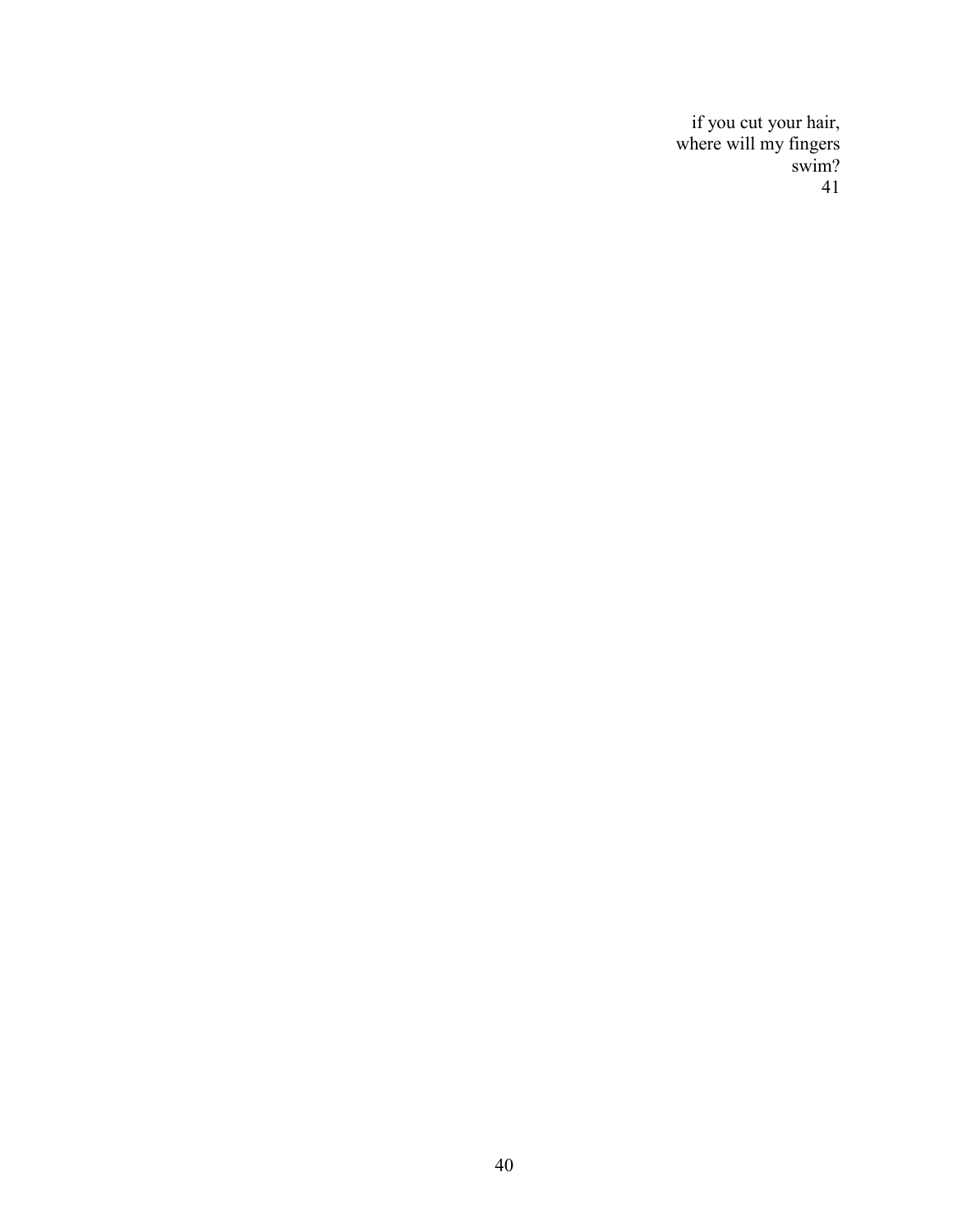if you cut your hair, where will my fingers swim? 41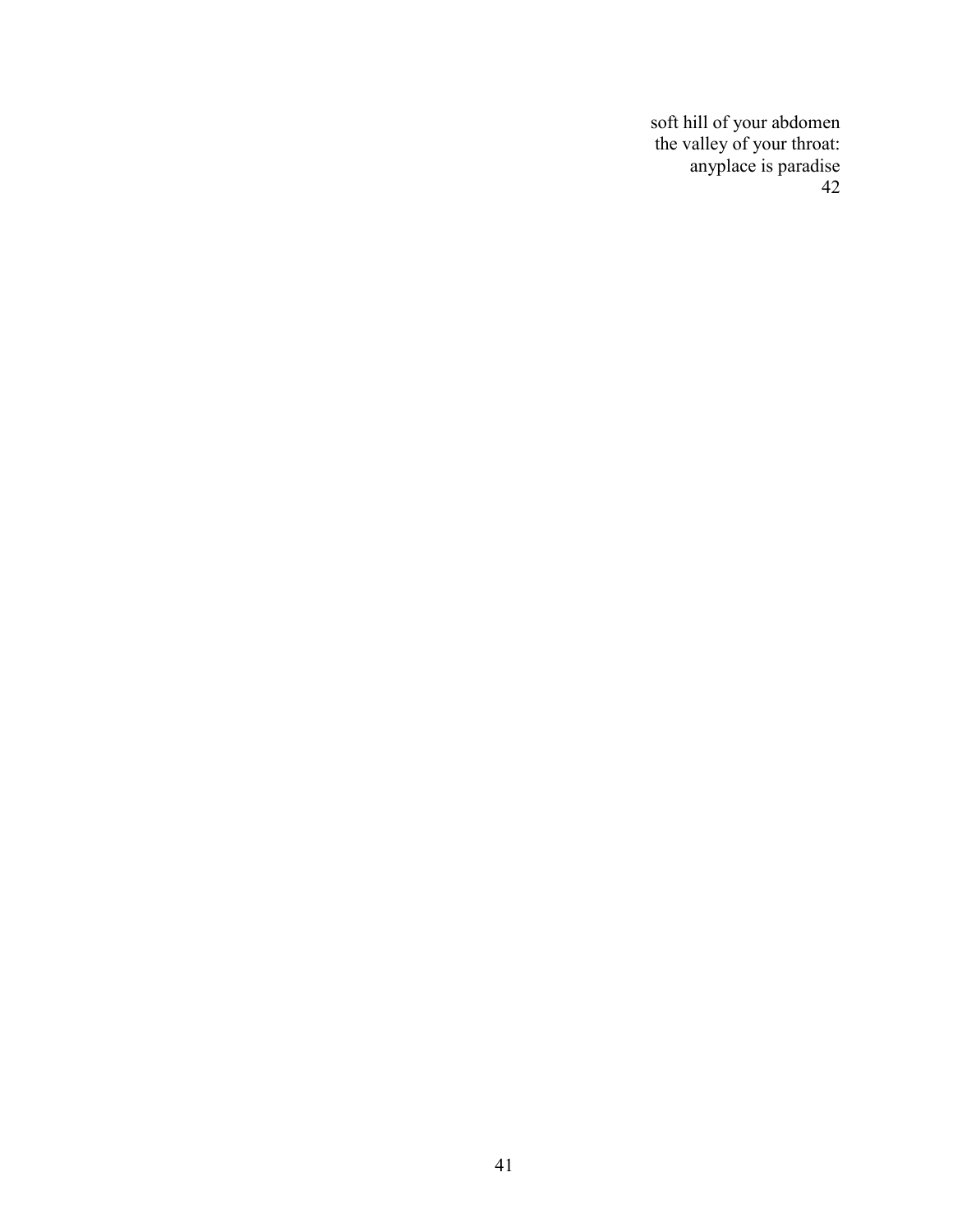soft hill of your abdomen the valley of your throat: anyplace is paradise 42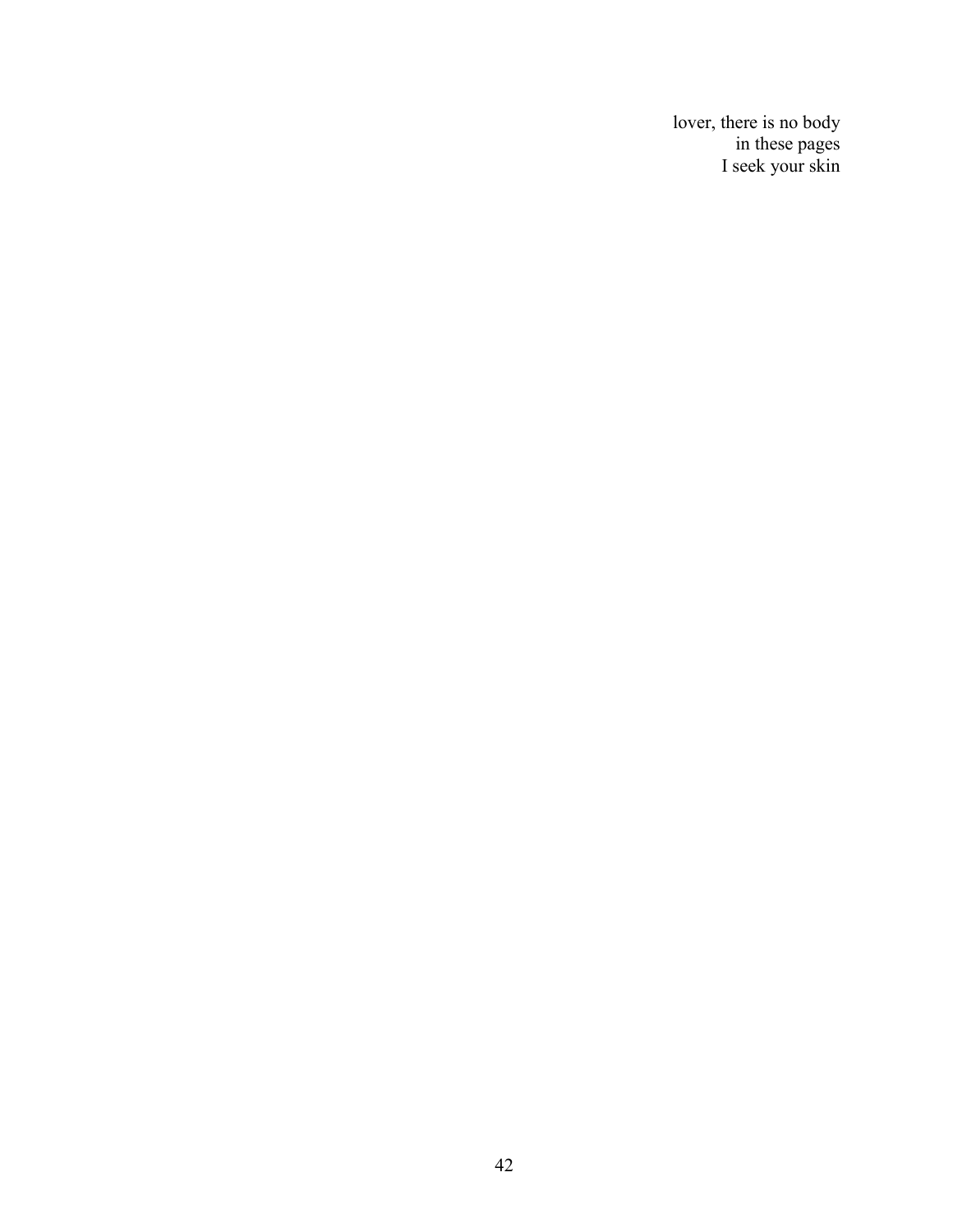lover, there is no body in these pages I seek your skin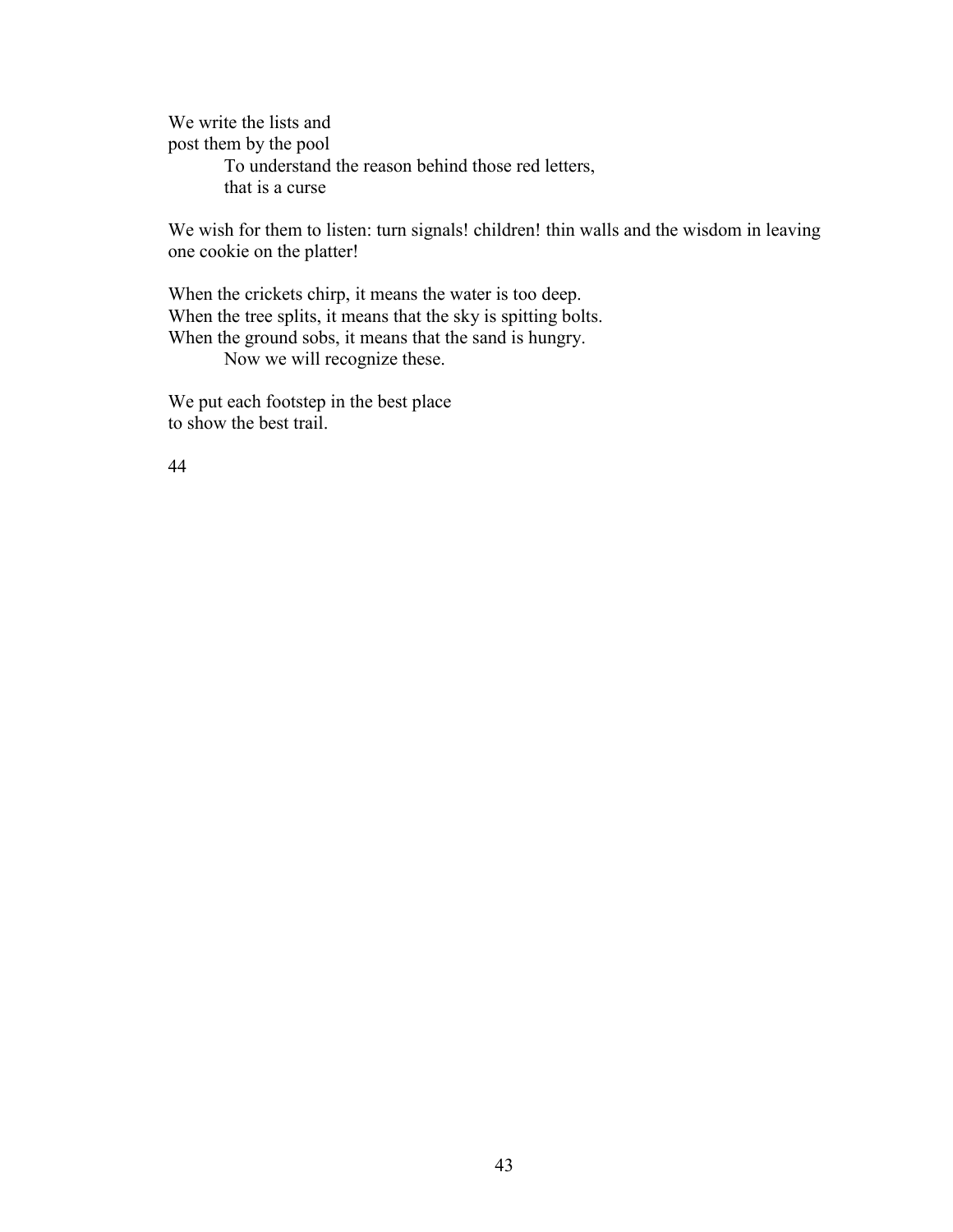We write the lists and post them by the pool To understand the reason behind those red letters, that is a curse

We wish for them to listen: turn signals! children! thin walls and the wisdom in leaving one cookie on the platter!

When the crickets chirp, it means the water is too deep. When the tree splits, it means that the sky is spitting bolts. When the ground sobs, it means that the sand is hungry. Now we will recognize these.

We put each footstep in the best place to show the best trail.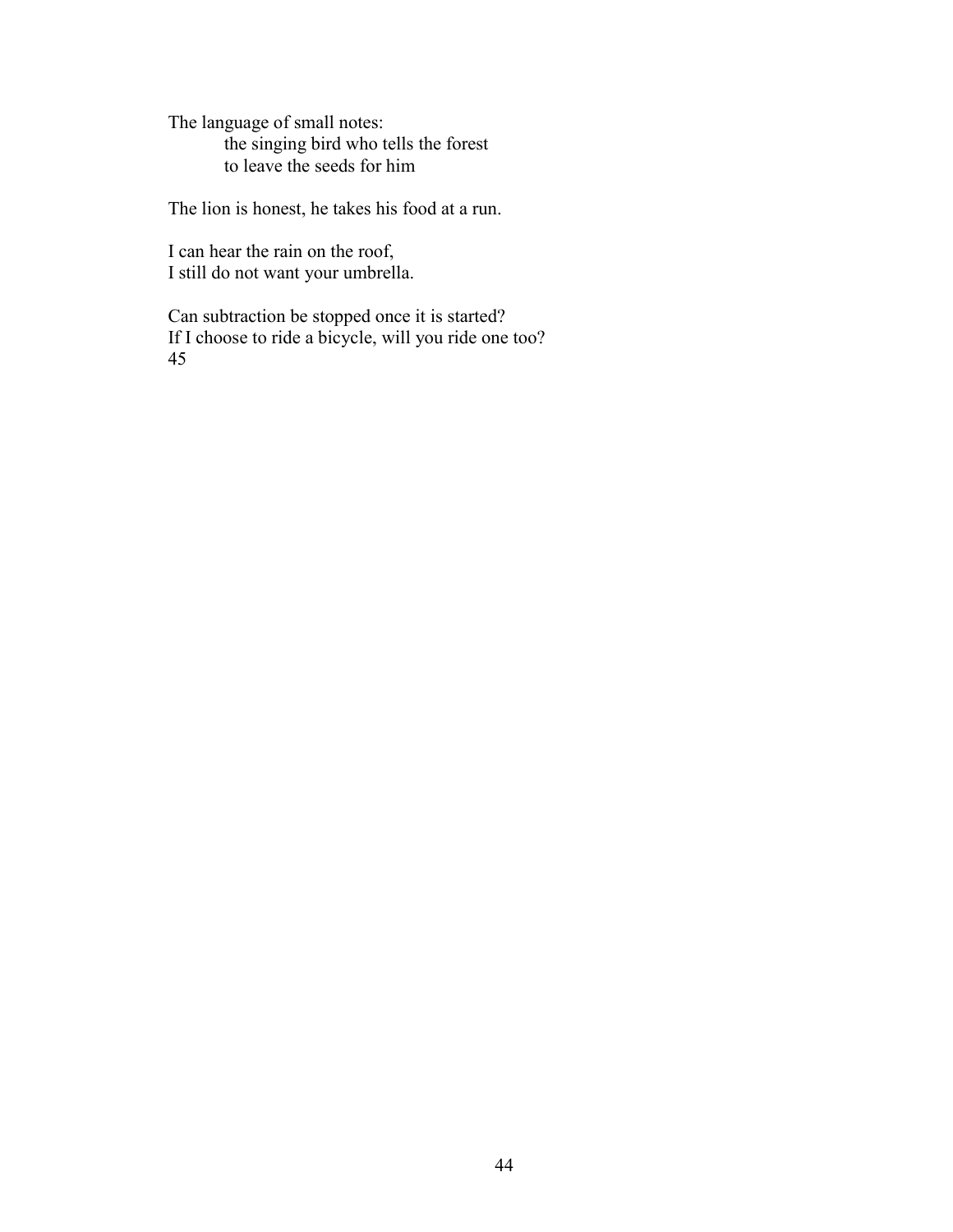The language of small notes: the singing bird who tells the forest to leave the seeds for him

The lion is honest, he takes his food at a run.

I can hear the rain on the roof, I still do not want your umbrella.

Can subtraction be stopped once it is started? If I choose to ride a bicycle, will you ride one too? 45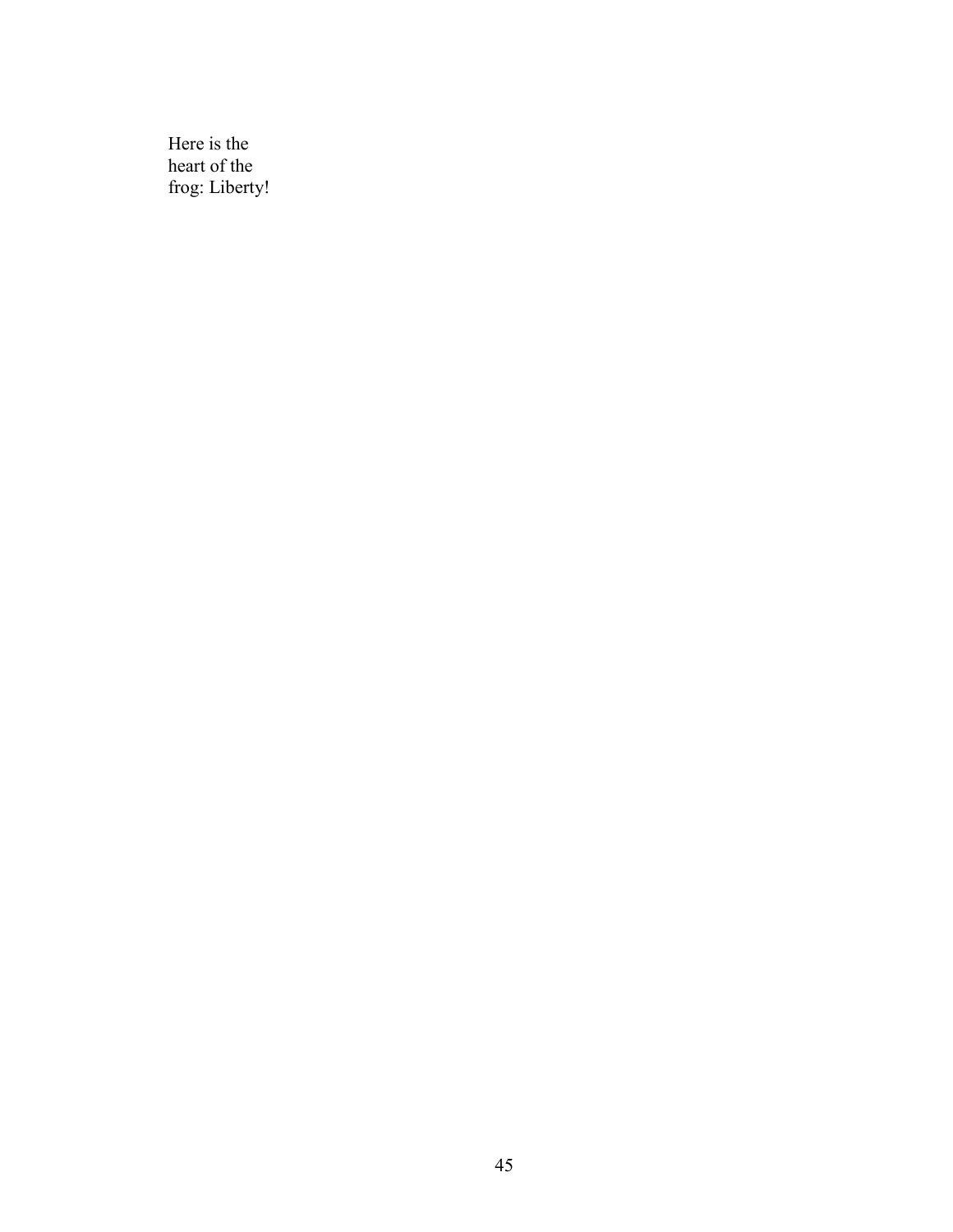Here is the heart of the frog: Liberty!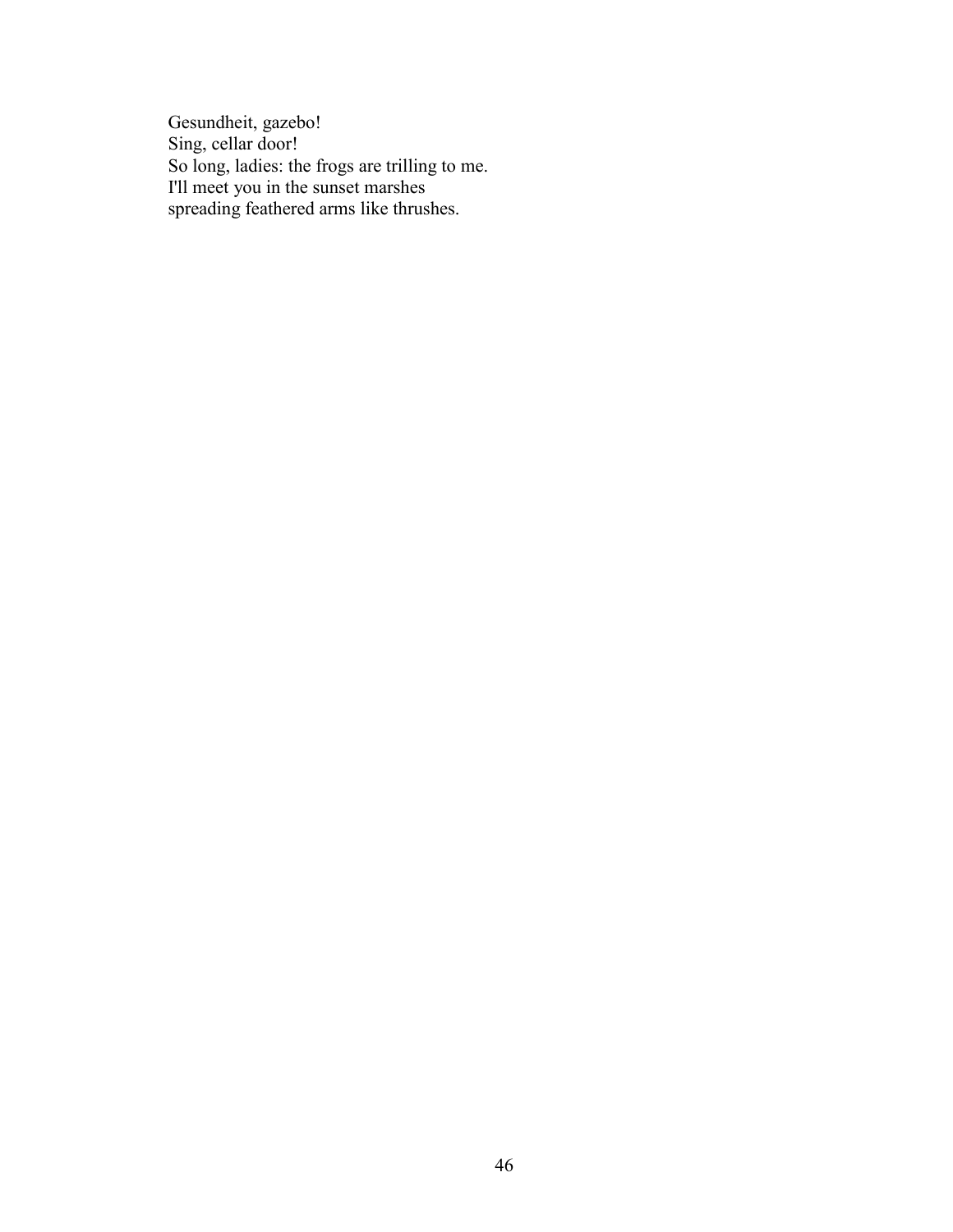Gesundheit, gazebo! Sing, cellar door! So long, ladies: the frogs are trilling to me. I'll meet you in the sunset marshes spreading feathered arms like thrushes.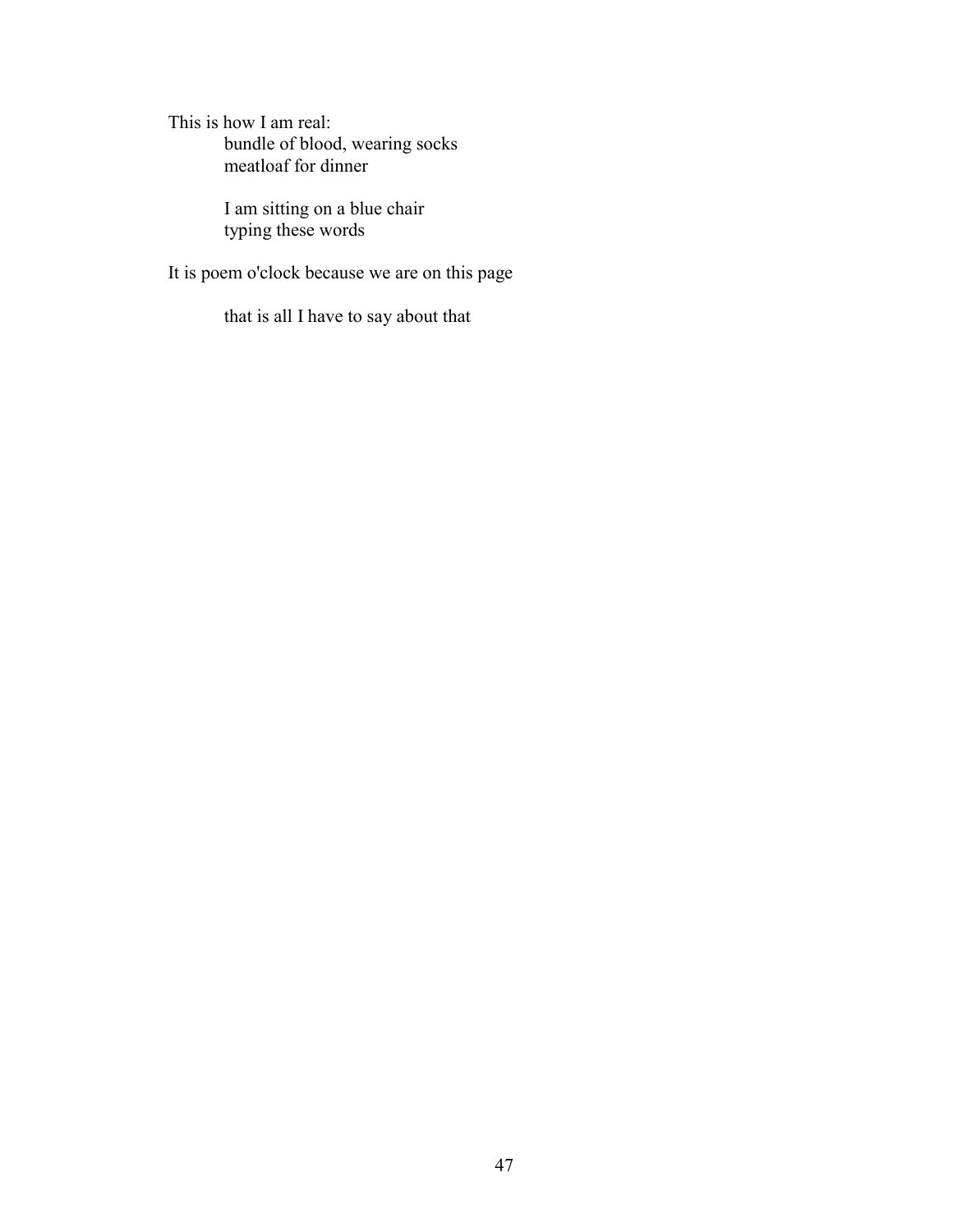This is how I am real: bundle of blood, wearing socks meatloaf for dinner

> I am sitting on a blue chair typing these words

It is poem o'clock because we are on this page

that is all I have to say about that